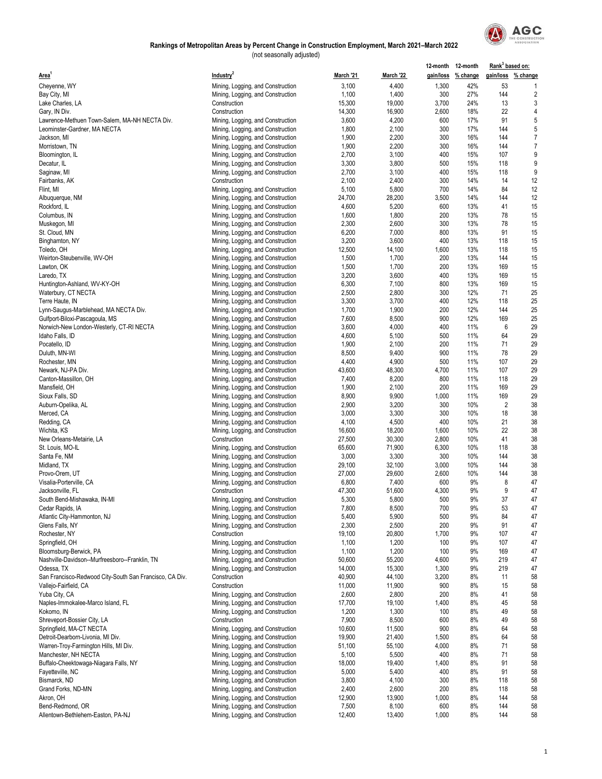

|                                                         |                                                                        |                |                 | 12-month 12-month |                    | Rank <sup>3</sup> based on: |                    |
|---------------------------------------------------------|------------------------------------------------------------------------|----------------|-----------------|-------------------|--------------------|-----------------------------|--------------------|
| <b>Area</b>                                             | Industry <sup>2</sup>                                                  | March '21      | March '22       |                   | gain/loss % change |                             | gain/loss % change |
| Cheyenne, WY                                            | Mining, Logging, and Construction                                      | 3,100          | 4,400           | 1,300             | 42%                | 53                          | 1                  |
| Bay City, MI                                            | Mining, Logging, and Construction                                      | 1,100          | 1,400           | 300               | 27%                | 144                         | $\overline{c}$     |
| Lake Charles, LA                                        | Construction                                                           | 15,300         | 19,000          | 3,700             | 24%                | 13                          | 3                  |
| Gary, IN Div.                                           | Construction                                                           | 14,300         | 16,900          | 2,600             | 18%                | 22                          | 4                  |
| Lawrence-Methuen Town-Salem, MA-NH NECTA Div.           | Mining, Logging, and Construction                                      | 3,600          | 4,200           | 600               | 17%                | 91                          | 5                  |
| Leominster-Gardner, MA NECTA                            | Mining, Logging, and Construction                                      | 1,800          | 2,100           | 300               | 17%                | 144                         | 5                  |
| Jackson, MI                                             | Mining, Logging, and Construction                                      | 1,900          | 2,200           | 300               | 16%                | 144                         | $\overline{7}$     |
| Morristown, TN                                          | Mining, Logging, and Construction                                      | 1,900          | 2,200           | 300               | 16%                | 144                         | $\overline{7}$     |
| Bloomington, IL                                         | Mining, Logging, and Construction                                      | 2,700          | 3,100           | 400               | 15%                | 107                         | 9                  |
| Decatur, IL                                             | Mining, Logging, and Construction                                      | 3,300          | 3,800           | 500               | 15%                | 118                         | 9                  |
| Saginaw, MI                                             | Mining, Logging, and Construction                                      | 2,700          | 3,100           | 400               | 15%                | 118                         | 9                  |
| Fairbanks, AK                                           | Construction                                                           | 2,100          | 2,400           | 300               | 14%                | 14                          | 12                 |
| Flint, MI                                               | Mining, Logging, and Construction                                      | 5,100          | 5,800           | 700               | 14%                | 84                          | 12                 |
| Albuquerque, NM                                         | Mining, Logging, and Construction                                      | 24,700         | 28,200          | 3,500             | 14%                | 144                         | 12                 |
| Rockford, IL                                            | Mining, Logging, and Construction                                      | 4,600          | 5,200           | 600               | 13%                | 41                          | 15                 |
| Columbus, IN                                            | Mining, Logging, and Construction                                      | 1,600          | 1,800           | 200               | 13%                | 78                          | 15                 |
| Muskegon, MI                                            | Mining, Logging, and Construction                                      | 2,300          | 2,600           | 300               | 13%                | 78                          | 15                 |
| St. Cloud, MN                                           | Mining, Logging, and Construction                                      | 6,200          | 7,000           | 800               | 13%                | 91                          | 15                 |
| Binghamton, NY                                          | Mining, Logging, and Construction                                      | 3,200          | 3,600           | 400               | 13%                | 118                         | 15                 |
| Toledo, OH                                              | Mining, Logging, and Construction                                      | 12,500         | 14,100          | 1,600             | 13%                | 118                         | 15                 |
| Weirton-Steubenville, WV-OH                             | Mining, Logging, and Construction                                      | 1,500          | 1,700           | 200               | 13%                | 144                         | 15                 |
| Lawton, OK                                              | Mining, Logging, and Construction                                      | 1,500          | 1,700           | 200               | 13%                | 169                         | 15                 |
| Laredo, TX                                              | Mining, Logging, and Construction                                      | 3,200          | 3,600           | 400               | 13%                | 169                         | 15                 |
| Huntington-Ashland, WV-KY-OH                            | Mining, Logging, and Construction                                      | 6,300          | 7,100           | 800               | 13%                | 169                         | 15                 |
| Waterbury, CT NECTA                                     | Mining, Logging, and Construction                                      | 2,500          | 2,800           | 300               | 12%                | 71                          | 25                 |
| Terre Haute, IN                                         | Mining, Logging, and Construction                                      | 3,300          | 3,700           | 400               | 12%                | 118                         | 25                 |
| Lynn-Saugus-Marblehead, MA NECTA Div.                   | Mining, Logging, and Construction                                      | 1,700          | 1,900           | 200               | 12%                | 144                         | 25                 |
| Gulfport-Biloxi-Pascagoula, MS                          | Mining, Logging, and Construction                                      | 7,600          | 8,500           | 900               | 12%                | 169                         | 25                 |
| Norwich-New London-Westerly, CT-RI NECTA                | Mining, Logging, and Construction                                      | 3,600          | 4,000           | 400               | 11%                | 6                           | 29                 |
| Idaho Falls, ID                                         | Mining, Logging, and Construction                                      | 4,600          | 5,100           | 500               | 11%                | 64                          | 29                 |
| Pocatello, ID                                           | Mining, Logging, and Construction                                      | 1,900          | 2,100           | 200               | 11%                | 71                          | 29                 |
| Duluth, MN-WI                                           | Mining, Logging, and Construction                                      | 8,500          | 9,400           | 900               | 11%                | 78                          | 29                 |
| Rochester, MN                                           | Mining, Logging, and Construction                                      | 4,400          | 4,900           | 500               | 11%                | 107                         | 29                 |
| Newark, NJ-PA Div.                                      | Mining, Logging, and Construction                                      | 43,600         | 48,300          | 4,700             | 11%                | 107                         | 29                 |
| Canton-Massillon, OH                                    | Mining, Logging, and Construction                                      | 7,400          | 8,200           | 800               | 11%                | 118                         | 29                 |
| Mansfield, OH                                           | Mining, Logging, and Construction                                      | 1,900          | 2,100           | 200               | 11%                | 169                         | 29                 |
| Sioux Falls, SD                                         | Mining, Logging, and Construction                                      | 8,900          | 9,900           | 1,000             | 11%                | 169                         | 29                 |
| Auburn-Opelika, AL                                      | Mining, Logging, and Construction                                      | 2,900          | 3,200           | 300               | 10%                | $\overline{2}$              | 38                 |
| Merced, CA                                              | Mining, Logging, and Construction                                      | 3,000          | 3,300           | 300               | 10%                | 18                          | 38                 |
| Redding, CA                                             | Mining, Logging, and Construction                                      | 4,100          | 4,500           | 400               | 10%                | 21                          | 38                 |
| Wichita, KS                                             | Mining, Logging, and Construction                                      | 16,600         | 18,200          | 1,600             | 10%                | 22                          | 38                 |
| New Orleans-Metairie, LA                                | Construction                                                           | 27,500         | 30,300          | 2,800             | 10%                | 41                          | 38                 |
| St. Louis, MO-IL                                        | Mining, Logging, and Construction                                      | 65,600         | 71,900          | 6,300             | 10%                | 118                         | 38                 |
| Santa Fe, NM                                            | Mining, Logging, and Construction                                      | 3,000          | 3,300           | 300               | 10%                | 144                         | 38                 |
| Midland, TX                                             | Mining, Logging, and Construction                                      | 29,100         | 32,100          | 3,000             | 10%                | 144                         | 38                 |
| Provo-Orem, UT                                          | Mining, Logging, and Construction                                      | 27,000         | 29,600          | 2,600             | 10%                | 144                         | 38                 |
| Visalia-Porterville, CA                                 | Mining, Logging, and Construction                                      | 6,800          | 7,400           | 600               | 9%<br>9%           | 8<br>9                      | 47                 |
| Jacksonville, FL<br>South Bend-Mishawaka, IN-MI         | Construction                                                           | 47,300         | 51,600<br>5,800 | 4,300<br>500      | 9%                 | 37                          | 47<br>47           |
|                                                         | Mining, Logging, and Construction                                      | 5,300<br>7,800 | 8,500           |                   |                    |                             | 47                 |
| Cedar Rapids, IA                                        | Mining, Logging, and Construction                                      | 5,400          | 5,900           | 700<br>500        | 9%<br>9%           | 53<br>84                    | 47                 |
| Atlantic City-Hammonton, NJ<br>Glens Falls, NY          | Mining, Logging, and Construction<br>Mining, Logging, and Construction | 2,300          | 2,500           | 200               | 9%                 | 91                          | 47                 |
| Rochester, NY                                           | Construction                                                           | 19,100         | 20,800          | 1,700             | 9%                 | 107                         | 47                 |
| Springfield, OH                                         | Mining, Logging, and Construction                                      | 1,100          | 1,200           | 100               | 9%                 | 107                         | 47                 |
| Bloomsburg-Berwick, PA                                  | Mining, Logging, and Construction                                      | 1,100          | 1,200           | 100               | 9%                 | 169                         | 47                 |
| Nashville-Davidson--Murfreesboro--Franklin, TN          | Mining, Logging, and Construction                                      | 50,600         | 55,200          | 4,600             | 9%                 | 219                         | 47                 |
| Odessa, TX                                              | Mining, Logging, and Construction                                      | 14,000         | 15,300          | 1,300             | 9%                 | 219                         | 47                 |
| San Francisco-Redwood City-South San Francisco, CA Div. | Construction                                                           | 40,900         | 44,100          | 3,200             | 8%                 | 11                          | 58                 |
| Vallejo-Fairfield, CA                                   | Construction                                                           | 11,000         | 11,900          | 900               | 8%                 | 15                          | 58                 |
| Yuba City, CA                                           | Mining, Logging, and Construction                                      | 2,600          | 2,800           | 200               | 8%                 | 41                          | 58                 |
| Naples-Immokalee-Marco Island, FL                       | Mining, Logging, and Construction                                      | 17,700         | 19,100          | 1,400             | 8%                 | 45                          | 58                 |
| Kokomo, IN                                              | Mining, Logging, and Construction                                      | 1,200          | 1,300           | 100               | 8%                 | 49                          | 58                 |
| Shreveport-Bossier City, LA                             | Construction                                                           | 7,900          | 8,500           | 600               | 8%                 | 49                          | 58                 |
| Springfield, MA-CT NECTA                                | Mining, Logging, and Construction                                      | 10,600         | 11,500          | 900               | 8%                 | 64                          | 58                 |
| Detroit-Dearborn-Livonia, MI Div.                       | Mining, Logging, and Construction                                      | 19,900         | 21,400          | 1,500             | 8%                 | 64                          | 58                 |
| Warren-Troy-Farmington Hills, MI Div.                   | Mining, Logging, and Construction                                      | 51,100         | 55,100          | 4,000             | 8%                 | 71                          | 58                 |
| Manchester, NH NECTA                                    | Mining, Logging, and Construction                                      | 5,100          | 5,500           | 400               | 8%                 | 71                          | 58                 |
| Buffalo-Cheektowaga-Niagara Falls, NY                   | Mining, Logging, and Construction                                      | 18,000         | 19,400          | 1,400             | 8%                 | 91                          | 58                 |
| Fayetteville, NC                                        | Mining, Logging, and Construction                                      | 5,000          | 5,400           | 400               | 8%                 | 91                          | 58                 |
| Bismarck, ND                                            | Mining, Logging, and Construction                                      | 3,800          | 4,100           | 300               | 8%                 | 118                         | 58                 |
| Grand Forks, ND-MN                                      | Mining, Logging, and Construction                                      | 2,400          | 2,600           | 200               | 8%                 | 118                         | 58                 |
| Akron, OH                                               | Mining, Logging, and Construction                                      | 12,900         | 13,900          | 1,000             | 8%                 | 144                         | 58                 |
| Bend-Redmond, OR                                        | Mining, Logging, and Construction                                      | 7,500          | 8,100           | 600               | 8%                 | 144                         | 58                 |
| Allentown-Bethlehem-Easton, PA-NJ                       | Mining, Logging, and Construction                                      | 12,400         | 13,400          | 1,000             | 8%                 | 144                         | 58                 |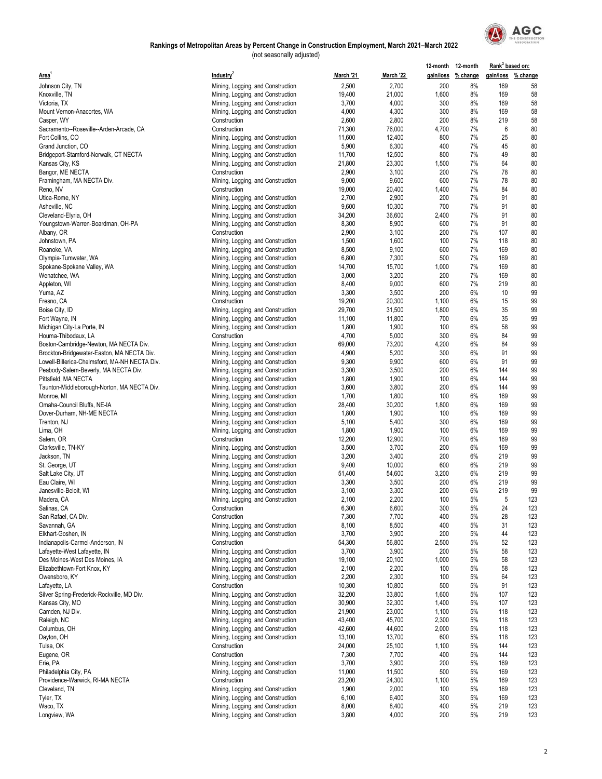

|                                                                     |                                                                        |                 |                 |              | 12-month 12-month  | Rank <sup>3</sup> based on: |                    |
|---------------------------------------------------------------------|------------------------------------------------------------------------|-----------------|-----------------|--------------|--------------------|-----------------------------|--------------------|
| Area'                                                               | Industry <sup>2</sup>                                                  | March '21       | March '22       |              | gain/loss % change |                             | gain/loss % change |
| Johnson City, TN                                                    | Mining, Logging, and Construction                                      | 2,500           | 2,700           | 200          | 8%                 | 169                         | 58                 |
| Knoxville, TN                                                       | Mining, Logging, and Construction                                      | 19,400          | 21,000          | 1,600        | 8%                 | 169                         | 58                 |
| Victoria, TX                                                        | Mining, Logging, and Construction                                      | 3,700           | 4,000           | 300          | 8%                 | 169                         | 58                 |
| Mount Vernon-Anacortes, WA                                          | Mining, Logging, and Construction                                      | 4,000           | 4,300           | 300          | 8%                 | 169                         | 58                 |
| Casper, WY                                                          | Construction                                                           | 2,600           | 2,800           | 200          | 8%                 | 219                         | 58                 |
| Sacramento--Roseville--Arden-Arcade, CA                             | Construction                                                           | 71,300          | 76,000          | 4,700        | 7%                 | 6                           | 80                 |
| Fort Collins, CO                                                    | Mining, Logging, and Construction                                      | 11,600          | 12,400          | 800          | 7%                 | 25<br>45                    | 80<br>80           |
| Grand Junction, CO<br>Bridgeport-Stamford-Norwalk, CT NECTA         | Mining, Logging, and Construction<br>Mining, Logging, and Construction | 5,900<br>11,700 | 6,300<br>12,500 | 400<br>800   | 7%<br>7%           | 49                          | 80                 |
| Kansas City, KS                                                     | Mining, Logging, and Construction                                      | 21,800          | 23,300          | 1,500        | 7%                 | 64                          | 80                 |
| Bangor, ME NECTA                                                    | Construction                                                           | 2,900           | 3,100           | 200          | 7%                 | 78                          | 80                 |
| Framingham, MA NECTA Div.                                           | Mining, Logging, and Construction                                      | 9,000           | 9,600           | 600          | 7%                 | 78                          | 80                 |
| Reno, NV                                                            | Construction                                                           | 19,000          | 20,400          | 1,400        | 7%                 | 84                          | 80                 |
| Utica-Rome, NY                                                      | Mining, Logging, and Construction                                      | 2,700           | 2,900           | 200          | 7%                 | 91                          | 80                 |
| Asheville, NC                                                       | Mining, Logging, and Construction                                      | 9,600           | 10,300          | 700          | 7%                 | 91                          | 80                 |
| Cleveland-Elyria, OH                                                | Mining, Logging, and Construction                                      | 34,200          | 36,600          | 2,400        | 7%                 | 91                          | 80                 |
| Youngstown-Warren-Boardman, OH-PA                                   | Mining, Logging, and Construction                                      | 8,300           | 8,900           | 600          | 7%                 | 91                          | 80                 |
| Albany, OR                                                          | Construction                                                           | 2,900           | 3,100           | 200          | 7%                 | 107                         | 80                 |
| Johnstown, PA                                                       | Mining, Logging, and Construction                                      | 1,500           | 1,600           | 100          | 7%                 | 118                         | 80                 |
| Roanoke, VA                                                         | Mining, Logging, and Construction                                      | 8,500           | 9,100           | 600          | 7%                 | 169                         | 80                 |
| Olympia-Tumwater, WA                                                | Mining, Logging, and Construction<br>Mining, Logging, and Construction | 6,800<br>14,700 | 7,300<br>15,700 | 500<br>1,000 | 7%<br>7%           | 169<br>169                  | 80<br>80           |
| Spokane-Spokane Valley, WA<br>Wenatchee, WA                         | Mining, Logging, and Construction                                      | 3,000           | 3,200           | 200          | 7%                 | 169                         | 80                 |
| Appleton, WI                                                        | Mining, Logging, and Construction                                      | 8,400           | 9,000           | 600          | 7%                 | 219                         | 80                 |
| Yuma, AZ                                                            | Mining, Logging, and Construction                                      | 3,300           | 3,500           | 200          | 6%                 | 10                          | 99                 |
| Fresno, CA                                                          | Construction                                                           | 19,200          | 20,300          | 1,100        | 6%                 | 15                          | 99                 |
| Boise City, ID                                                      | Mining, Logging, and Construction                                      | 29,700          | 31,500          | 1,800        | 6%                 | 35                          | 99                 |
| Fort Wayne, IN                                                      | Mining, Logging, and Construction                                      | 11,100          | 11,800          | 700          | 6%                 | 35                          | 99                 |
| Michigan City-La Porte, IN                                          | Mining, Logging, and Construction                                      | 1,800           | 1,900           | 100          | 6%                 | 58                          | 99                 |
| Houma-Thibodaux, LA                                                 | Construction                                                           | 4,700           | 5,000           | 300          | 6%                 | 84                          | 99                 |
| Boston-Cambridge-Newton, MA NECTA Div.                              | Mining, Logging, and Construction                                      | 69,000          | 73,200          | 4,200        | 6%                 | 84                          | 99                 |
| Brockton-Bridgewater-Easton, MA NECTA Div.                          | Mining, Logging, and Construction                                      | 4,900           | 5,200           | 300          | 6%                 | 91                          | 99                 |
| Lowell-Billerica-Chelmsford, MA-NH NECTA Div.                       | Mining, Logging, and Construction                                      | 9,300           | 9,900           | 600          | 6%                 | 91                          | 99                 |
| Peabody-Salem-Beverly, MA NECTA Div.                                | Mining, Logging, and Construction                                      | 3,300           | 3,500           | 200<br>100   | 6%<br>6%           | 144<br>144                  | 99<br>99           |
| Pittsfield, MA NECTA<br>Taunton-Middleborough-Norton, MA NECTA Div. | Mining, Logging, and Construction<br>Mining, Logging, and Construction | 1,800<br>3,600  | 1,900<br>3,800  | 200          | 6%                 | 144                         | 99                 |
| Monroe, MI                                                          | Mining, Logging, and Construction                                      | 1,700           | 1,800           | 100          | 6%                 | 169                         | 99                 |
| Omaha-Council Bluffs, NE-IA                                         | Mining, Logging, and Construction                                      | 28,400          | 30,200          | 1,800        | 6%                 | 169                         | 99                 |
| Dover-Durham, NH-ME NECTA                                           | Mining, Logging, and Construction                                      | 1,800           | 1,900           | 100          | 6%                 | 169                         | 99                 |
| Trenton, NJ                                                         | Mining, Logging, and Construction                                      | 5,100           | 5,400           | 300          | 6%                 | 169                         | 99                 |
| Lima, OH                                                            | Mining, Logging, and Construction                                      | 1,800           | 1,900           | 100          | 6%                 | 169                         | 99                 |
| Salem, OR                                                           | Construction                                                           | 12,200          | 12,900          | 700          | 6%                 | 169                         | 99                 |
| Clarksville, TN-KY                                                  | Mining, Logging, and Construction                                      | 3,500           | 3,700           | 200          | 6%                 | 169                         | 99                 |
| Jackson, TN                                                         | Mining, Logging, and Construction                                      | 3,200           | 3,400           | 200          | 6%                 | 219                         | 99                 |
| St. George, UT                                                      | Mining, Logging, and Construction                                      | 9,400           | 10,000          | 600          | 6%                 | 219                         | 99<br>99           |
| Salt Lake City, UT<br>Eau Claire, WI                                | Mining, Logging, and Construction<br>Mining, Logging, and Construction | 51,400<br>3,300 | 54,600<br>3,500 | 3,200<br>200 | 6%<br>6%           | 219<br>219                  | 99                 |
| Janesville-Beloit, WI                                               | Mining, Logging, and Construction                                      | 3,100           | 3,300           | 200          | 6%                 | 219                         | 99                 |
| Madera, CA                                                          | Mining, Logging, and Construction                                      | 2,100           | 2,200           | 100          | 5%                 | 5                           | 123                |
| Salinas, CA                                                         | Construction                                                           | 6,300           | 6,600           | 300          | 5%                 | 24                          | 123                |
| San Rafael, CA Div.                                                 | Construction                                                           | 7,300           | 7,700           | 400          | 5%                 | 28                          | 123                |
| Savannah, GA                                                        | Mining, Logging, and Construction                                      | 8,100           | 8,500           | 400          | 5%                 | 31                          | 123                |
| Elkhart-Goshen, IN                                                  | Mining, Logging, and Construction                                      | 3,700           | 3,900           | 200          | 5%                 | 44                          | 123                |
| Indianapolis-Carmel-Anderson, IN                                    | Construction                                                           | 54,300          | 56,800          | 2,500        | 5%                 | 52                          | 123                |
| Lafayette-West Lafayette, IN                                        | Mining, Logging, and Construction                                      | 3,700           | 3,900           | 200          | 5%                 | 58                          | 123                |
| Des Moines-West Des Moines, IA                                      | Mining, Logging, and Construction                                      | 19,100          | 20,100          | 1,000        | 5%                 | 58                          | 123                |
| Elizabethtown-Fort Knox, KY<br>Owensboro, KY                        | Mining, Logging, and Construction                                      | 2,100<br>2,200  | 2,200<br>2,300  | 100<br>100   | 5%<br>5%           | 58<br>64                    | 123<br>123         |
| Lafayette, LA                                                       | Mining, Logging, and Construction<br>Construction                      | 10,300          | 10,800          | 500          | 5%                 | 91                          | 123                |
| Silver Spring-Frederick-Rockville, MD Div.                          | Mining, Logging, and Construction                                      | 32,200          | 33,800          | 1,600        | 5%                 | 107                         | 123                |
| Kansas City, MO                                                     | Mining, Logging, and Construction                                      | 30,900          | 32,300          | 1,400        | 5%                 | 107                         | 123                |
| Camden, NJ Div.                                                     | Mining, Logging, and Construction                                      | 21,900          | 23,000          | 1,100        | 5%                 | 118                         | 123                |
| Raleigh, NC                                                         | Mining, Logging, and Construction                                      | 43,400          | 45,700          | 2,300        | 5%                 | 118                         | 123                |
| Columbus, OH                                                        | Mining, Logging, and Construction                                      | 42,600          | 44,600          | 2,000        | 5%                 | 118                         | 123                |
| Dayton, OH                                                          | Mining, Logging, and Construction                                      | 13,100          | 13,700          | 600          | 5%                 | 118                         | 123                |
| Tulsa, OK                                                           | Construction                                                           | 24,000          | 25,100          | 1,100        | 5%                 | 144                         | 123                |
| Eugene, OR                                                          | Construction                                                           | 7,300           | 7,700           | 400          | 5%                 | 144                         | 123                |
| Erie, PA                                                            | Mining, Logging, and Construction                                      | 3,700           | 3,900           | 200          | 5%                 | 169                         | 123                |
| Philadelphia City, PA                                               | Mining, Logging, and Construction                                      | 11,000          | 11,500          | 500          | 5%                 | 169                         | 123                |
| Providence-Warwick, RI-MA NECTA<br>Cleveland, TN                    | Construction<br>Mining, Logging, and Construction                      | 23,200<br>1,900 | 24,300<br>2,000 | 1,100<br>100 | 5%<br>5%           | 169<br>169                  | 123<br>123         |
| Tyler, TX                                                           | Mining, Logging, and Construction                                      | 6,100           | 6,400           | 300          | 5%                 | 169                         | 123                |
| Waco, TX                                                            | Mining, Logging, and Construction                                      | 8,000           | 8,400           | 400          | 5%                 | 219                         | 123                |
| Longview, WA                                                        | Mining, Logging, and Construction                                      | 3,800           | 4,000           | 200          | 5%                 | 219                         | 123                |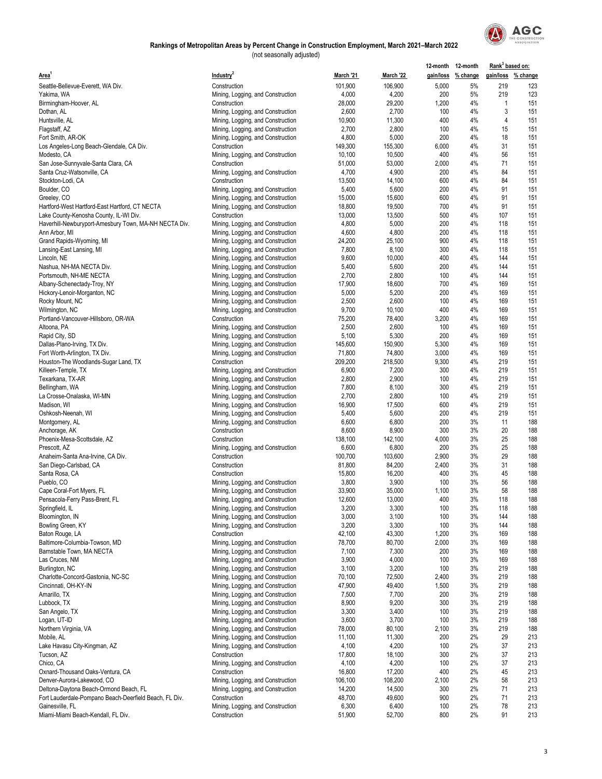

|                                                        |                                   |           |                  | 12-month 12-month |                    | Rank <sup>3</sup> based on: |                    |
|--------------------------------------------------------|-----------------------------------|-----------|------------------|-------------------|--------------------|-----------------------------|--------------------|
| Area'                                                  | Industry <sup>2</sup>             | March '21 | <b>March '22</b> |                   | gain/loss % change |                             | gain/loss % change |
| Seattle-Bellevue-Everett, WA Div.                      | Construction                      | 101,900   | 106,900          | 5,000             | 5%                 | 219                         | 123                |
| Yakima, WA                                             | Mining, Logging, and Construction | 4,000     | 4,200            | 200               | 5%                 | 219                         | 123                |
| Birmingham-Hoover, AL                                  | Construction                      | 28,000    | 29,200           | 1,200             | 4%                 | $\mathbf{1}$                | 151                |
| Dothan, AL                                             | Mining, Logging, and Construction | 2,600     | 2,700            | 100               | 4%                 | 3                           | 151                |
| Huntsville, AL                                         | Mining, Logging, and Construction | 10,900    | 11,300           | 400               | 4%                 | 4                           | 151                |
| Flagstaff, AZ                                          | Mining, Logging, and Construction | 2,700     | 2,800            | 100               | 4%                 | 15                          | 151                |
| Fort Smith, AR-OK                                      | Mining, Logging, and Construction | 4,800     | 5,000            | 200               | 4%                 | 18                          | 151                |
| Los Angeles-Long Beach-Glendale, CA Div.               | Construction                      | 149,300   | 155,300          | 6,000             | 4%                 | 31                          | 151                |
| Modesto, CA                                            | Mining, Logging, and Construction | 10,100    | 10,500           | 400               | 4%                 | 56                          | 151                |
| San Jose-Sunnyvale-Santa Clara, CA                     | Construction                      | 51,000    | 53,000           | 2,000             | 4%                 | 71                          | 151                |
| Santa Cruz-Watsonville, CA                             | Mining, Logging, and Construction | 4,700     | 4,900            | 200               | 4%                 | 84                          | 151                |
| Stockton-Lodi, CA                                      | Construction                      | 13,500    | 14,100           | 600               | 4%                 | 84                          | 151                |
| Boulder, CO                                            | Mining, Logging, and Construction | 5,400     | 5,600            | 200               | 4%                 | 91                          | 151                |
| Greeley, CO                                            | Mining, Logging, and Construction | 15,000    | 15,600           | 600               | 4%                 | 91                          | 151                |
| Hartford-West Hartford-East Hartford, CT NECTA         | Mining, Logging, and Construction | 18,800    | 19,500           | 700               | 4%                 | 91                          | 151                |
| Lake County-Kenosha County, IL-WI Div.                 | Construction                      | 13,000    | 13,500           | 500               | 4%                 | 107                         | 151                |
| Haverhill-Newburyport-Amesbury Town, MA-NH NECTA Div.  | Mining, Logging, and Construction | 4,800     | 5,000            | 200               | 4%                 | 118                         | 151                |
| Ann Arbor, MI                                          | Mining, Logging, and Construction | 4,600     | 4,800            | 200               | 4%                 | 118                         | 151                |
| Grand Rapids-Wyoming, MI                               | Mining, Logging, and Construction | 24,200    | 25,100           | 900               | 4%                 | 118                         | 151                |
| Lansing-East Lansing, MI                               | Mining, Logging, and Construction | 7,800     | 8,100            | 300               | 4%                 | 118                         | 151                |
| Lincoln, NE                                            | Mining, Logging, and Construction | 9,600     | 10,000           | 400               | 4%                 | 144                         | 151                |
| Nashua, NH-MA NECTA Div.                               | Mining, Logging, and Construction | 5,400     | 5,600            | 200               | 4%                 | 144                         | 151                |
| Portsmouth, NH-ME NECTA                                | Mining, Logging, and Construction | 2,700     | 2,800            | 100               | 4%                 | 144                         | 151                |
| Albany-Schenectady-Troy, NY                            | Mining, Logging, and Construction | 17,900    | 18,600           | 700               | 4%                 | 169                         | 151                |
| Hickory-Lenoir-Morganton, NC                           | Mining, Logging, and Construction | 5,000     | 5,200            | 200               | 4%                 | 169                         | 151                |
| Rocky Mount, NC                                        | Mining, Logging, and Construction | 2,500     | 2,600            | 100               | 4%                 | 169                         | 151                |
| Wilmington, NC                                         | Mining, Logging, and Construction | 9,700     | 10,100           | 400               | 4%                 | 169                         | 151                |
| Portland-Vancouver-Hillsboro, OR-WA                    | Construction                      | 75,200    | 78,400           | 3,200             | 4%                 | 169                         | 151                |
| Altoona, PA                                            | Mining, Logging, and Construction | 2,500     | 2,600            | 100               | 4%                 | 169                         | 151                |
| Rapid City, SD                                         | Mining, Logging, and Construction | 5,100     | 5,300            | 200               | 4%                 | 169                         | 151                |
| Dallas-Plano-Irving, TX Div.                           | Mining, Logging, and Construction | 145,600   | 150,900          | 5,300             | 4%                 | 169                         | 151                |
| Fort Worth-Arlington, TX Div.                          | Mining, Logging, and Construction | 71,800    | 74,800           | 3,000             | 4%                 | 169                         | 151                |
| Houston-The Woodlands-Sugar Land, TX                   | Construction                      | 209,200   | 218,500          | 9,300             | 4%                 | 219                         | 151                |
| Killeen-Temple, TX                                     | Mining, Logging, and Construction | 6,900     | 7,200            | 300               | 4%                 | 219                         | 151                |
| Texarkana, TX-AR                                       | Mining, Logging, and Construction | 2,800     | 2,900            | 100               | 4%                 | 219                         | 151                |
| Bellingham, WA                                         | Mining, Logging, and Construction | 7,800     | 8,100            | 300               | 4%                 | 219                         | 151                |
| La Crosse-Onalaska, WI-MN                              | Mining, Logging, and Construction | 2,700     | 2,800            | 100               | 4%                 | 219                         | 151                |
| Madison, WI                                            | Mining, Logging, and Construction | 16,900    | 17,500           | 600               | 4%                 | 219                         | 151                |
| Oshkosh-Neenah, WI                                     | Mining, Logging, and Construction | 5,400     | 5,600            | 200               | 4%                 | 219                         | 151                |
| Montgomery, AL                                         | Mining, Logging, and Construction | 6,600     | 6,800            | 200               | 3%                 | 11                          | 188                |
| Anchorage, AK                                          | Construction                      | 8,600     | 8,900            | 300               | 3%                 | 20                          | 188                |
| Phoenix-Mesa-Scottsdale, AZ                            | Construction                      | 138,100   | 142,100          | 4,000             | 3%                 | 25                          | 188                |
| Prescott. AZ                                           | Mining, Logging, and Construction | 6,600     | 6,800            | 200               | 3%                 | 25                          | 188                |
| Anaheim-Santa Ana-Irvine, CA Div.                      | Construction                      | 100,700   | 103,600          | 2,900             | 3%                 | 29                          | 188                |
| San Diego-Carlsbad, CA                                 | Construction                      | 81,800    | 84,200           | 2,400             | 3%                 | 31                          | 188                |
| Santa Rosa, CA                                         | Construction                      | 15,800    | 16,200           | 400               | 3%                 | 45                          | 188                |
| Pueblo, CO                                             | Mining, Logging, and Construction | 3,800     | 3,900            | 100               | 3%                 | 56                          | 188                |
| Cape Coral-Fort Myers, FL                              | Mining, Logging, and Construction | 33,900    | 35,000           | 1,100             | 3%                 | 58                          | 188                |
| Pensacola-Ferry Pass-Brent, FL                         | Mining, Logging, and Construction | 12,600    | 13,000           | 400               | 3%                 | 118                         | 188                |
| Springfield, IL                                        | Mining, Logging, and Construction | 3,200     | 3,300            | 100               | 3%                 | 118                         | 188                |
| Bloomington, IN                                        | Mining, Logging, and Construction | 3,000     | 3,100            | 100               | 3%                 | 144                         | 188                |
| Bowling Green, KY                                      | Mining, Logging, and Construction | 3,200     | 3,300            | 100               | 3%                 | 144                         | 188                |
| Baton Rouge, LA                                        | Construction                      | 42,100    | 43,300           | 1,200             | 3%                 | 169                         | 188                |
| Baltimore-Columbia-Towson, MD                          | Mining, Logging, and Construction | 78,700    | 80,700           | 2,000             | 3%                 | 169                         | 188                |
| Barnstable Town, MA NECTA                              | Mining, Logging, and Construction | 7,100     | 7,300            | 200               | 3%                 | 169                         | 188                |
| Las Cruces, NM                                         | Mining, Logging, and Construction | 3,900     | 4,000            | 100               | 3%                 | 169                         | 188                |
| Burlington, NC                                         | Mining, Logging, and Construction | 3,100     | 3,200            | 100               | 3%                 | 219                         | 188                |
| Charlotte-Concord-Gastonia, NC-SC                      | Mining, Logging, and Construction | 70,100    | 72,500           | 2,400             | 3%                 | 219                         | 188                |
| Cincinnati, OH-KY-IN                                   | Mining, Logging, and Construction | 47,900    | 49,400           | 1,500             | 3%                 | 219                         | 188                |
| Amarillo, TX                                           | Mining, Logging, and Construction | 7,500     | 7,700            | 200               | 3%                 | 219                         | 188                |
| Lubbock, TX                                            | Mining, Logging, and Construction | 8,900     | 9,200            | 300               | 3%                 | 219                         | 188                |
| San Angelo, TX                                         | Mining, Logging, and Construction | 3,300     | 3,400            | 100               | 3%                 | 219                         | 188                |
| Logan, UT-ID                                           | Mining, Logging, and Construction | 3,600     | 3,700            | 100               | 3%                 | 219                         | 188                |
| Northern Virginia, VA                                  | Mining, Logging, and Construction | 78,000    | 80,100           | 2,100             | 3%                 | 219                         | 188                |
| Mobile, AL                                             | Mining, Logging, and Construction | 11,100    | 11,300           | 200               | 2%                 | 29                          | 213                |
| Lake Havasu City-Kingman, AZ                           | Mining, Logging, and Construction | 4,100     | 4,200            | 100               | 2%                 | 37                          | 213                |
| Tucson, AZ                                             | Construction                      | 17,800    | 18,100           | 300               | 2%                 | 37                          | 213                |
| Chico, CA                                              | Mining, Logging, and Construction | 4,100     | 4,200            | 100               | 2%                 | 37                          | 213                |
| Oxnard-Thousand Oaks-Ventura, CA                       | Construction                      | 16,800    | 17,200           | 400               | 2%                 | 45                          | 213                |
| Denver-Aurora-Lakewood, CO                             | Mining, Logging, and Construction | 106,100   | 108,200          | 2,100             | 2%                 | 58                          | 213                |
| Deltona-Daytona Beach-Ormond Beach, FL                 | Mining, Logging, and Construction | 14,200    | 14,500           | 300               | 2%                 | 71                          | 213                |
| Fort Lauderdale-Pompano Beach-Deerfield Beach, FL Div. | Construction                      | 48,700    | 49,600           | 900               | 2%                 | 71                          | 213                |
| Gainesville, FL                                        | Mining, Logging, and Construction | 6,300     | 6,400            | 100               | 2%                 | 78                          | 213                |
| Miami-Miami Beach-Kendall, FL Div.                     | Construction                      | 51,900    | 52,700           | 800               | 2%                 | 91                          | 213                |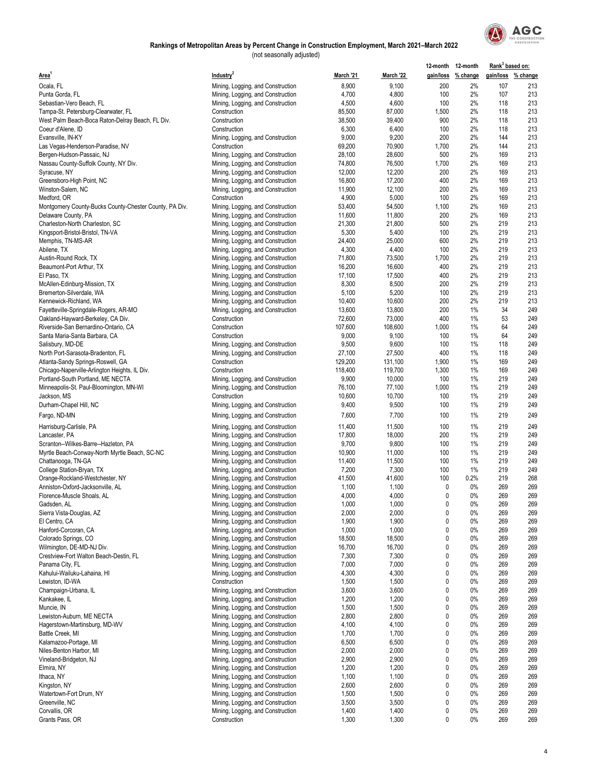

|                                                        |                                   |           |           | 12-month 12-month |                    | Rank <sup>3</sup> based on: |                    |
|--------------------------------------------------------|-----------------------------------|-----------|-----------|-------------------|--------------------|-----------------------------|--------------------|
| Area <sup>1</sup>                                      | Industry <sup>2</sup>             | March '21 | March '22 |                   | gain/loss % change |                             | gain/loss % change |
| Ocala, FL                                              | Mining, Logging, and Construction | 8,900     | 9,100     | 200               | 2%                 | 107                         | 213                |
| Punta Gorda, FL                                        | Mining, Logging, and Construction | 4,700     | 4,800     | 100               | 2%                 | 107                         | 213                |
| Sebastian-Vero Beach, FL                               | Mining, Logging, and Construction | 4,500     | 4,600     | 100               | 2%                 | 118                         | 213                |
| Tampa-St. Petersburg-Clearwater, FL                    | Construction                      | 85,500    | 87,000    | 1,500             | 2%                 | 118                         | 213                |
| West Palm Beach-Boca Raton-Delray Beach, FL Div.       | Construction                      | 38,500    | 39,400    | 900               | 2%                 | 118                         | 213                |
| Coeur d'Alene, ID                                      | Construction                      | 6,300     | 6,400     | 100               | 2%                 | 118                         | 213                |
| Evansville, IN-KY                                      | Mining, Logging, and Construction | 9,000     | 9,200     | 200               | 2%                 | 144                         | 213                |
| Las Vegas-Henderson-Paradise, NV                       | Construction                      | 69,200    | 70,900    | 1,700             | 2%                 | 144                         | 213                |
| Bergen-Hudson-Passaic, NJ                              | Mining, Logging, and Construction | 28,100    | 28,600    | 500               | 2%                 | 169                         | 213                |
| Nassau County-Suffolk County, NY Div.                  | Mining, Logging, and Construction | 74,800    | 76,500    | 1,700             | 2%                 | 169                         | 213                |
| Syracuse, NY                                           | Mining, Logging, and Construction | 12,000    | 12,200    | 200               | 2%                 | 169                         | 213                |
| Greensboro-High Point, NC                              | Mining, Logging, and Construction | 16,800    | 17,200    | 400               | 2%                 | 169                         | 213                |
| Winston-Salem, NC                                      | Mining, Logging, and Construction | 11,900    | 12,100    | 200               | 2%                 | 169                         | 213                |
| Medford, OR                                            | Construction                      | 4,900     | 5,000     | 100               | 2%                 | 169                         | 213                |
| Montgomery County-Bucks County-Chester County, PA Div. | Mining, Logging, and Construction | 53,400    | 54,500    | 1,100             | 2%                 | 169                         | 213                |
| Delaware County, PA                                    | Mining, Logging, and Construction | 11,600    | 11,800    | 200               | 2%                 | 169                         | 213                |
| Charleston-North Charleston, SC                        | Mining, Logging, and Construction | 21,300    | 21,800    | 500               | 2%                 | 219                         | 213                |
| Kingsport-Bristol-Bristol, TN-VA                       | Mining, Logging, and Construction | 5,300     | 5,400     | 100               | 2%                 | 219                         | 213                |
| Memphis, TN-MS-AR                                      | Mining, Logging, and Construction | 24,400    | 25,000    | 600               | 2%                 | 219                         | 213                |
| Abilene, TX                                            | Mining, Logging, and Construction | 4,300     | 4,400     | 100               | 2%                 | 219                         | 213                |
| Austin-Round Rock, TX                                  | Mining, Logging, and Construction | 71,800    | 73,500    | 1,700             | 2%                 | 219                         | 213                |
| Beaumont-Port Arthur, TX                               | Mining, Logging, and Construction | 16,200    | 16,600    | 400               | 2%                 | 219                         | 213                |
| El Paso, TX                                            | Mining, Logging, and Construction | 17,100    | 17,500    | 400               | 2%                 | 219                         | 213                |
| McAllen-Edinburg-Mission, TX                           | Mining, Logging, and Construction | 8,300     | 8,500     | 200               | 2%                 | 219                         | 213                |
| Bremerton-Silverdale, WA                               | Mining, Logging, and Construction | 5,100     | 5,200     | 100               | 2%                 | 219                         | 213                |
| Kennewick-Richland, WA                                 | Mining, Logging, and Construction | 10,400    | 10,600    | 200               | 2%                 | 219                         | 213                |
| Fayetteville-Springdale-Rogers, AR-MO                  | Mining, Logging, and Construction | 13,600    | 13,800    | 200               | 1%                 | 34                          | 249                |
| Oakland-Hayward-Berkeley, CA Div.                      | Construction                      | 72,600    | 73,000    | 400               | 1%                 | 53                          | 249                |
| Riverside-San Bernardino-Ontario, CA                   | Construction                      | 107,600   | 108,600   | 1,000             | 1%                 | 64                          | 249                |
| Santa Maria-Santa Barbara, CA                          | Construction                      | 9,000     | 9,100     | 100               | 1%                 | 64                          | 249                |
| Salisbury, MD-DE                                       | Mining, Logging, and Construction | 9,500     | 9,600     | 100               | 1%                 | 118                         | 249                |
| North Port-Sarasota-Bradenton, FL                      | Mining, Logging, and Construction | 27,100    | 27,500    | 400               | 1%                 | 118                         | 249                |
| Atlanta-Sandy Springs-Roswell, GA                      | Construction                      | 129,200   | 131,100   | 1,900             | 1%                 | 169                         | 249                |
| Chicago-Naperville-Arlington Heights, IL Div.          | Construction                      | 118,400   | 119,700   | 1,300             | 1%                 | 169                         | 249                |
| Portland-South Portland, ME NECTA                      | Mining, Logging, and Construction | 9,900     | 10,000    | 100               | 1%                 | 219                         | 249                |
| Minneapolis-St. Paul-Bloomington, MN-WI                | Mining, Logging, and Construction | 76,100    | 77,100    | 1,000             | 1%                 | 219                         | 249                |
| Jackson, MS                                            | Construction                      | 10,600    | 10,700    | 100               | 1%                 | 219                         | 249                |
| Durham-Chapel Hill, NC                                 | Mining, Logging, and Construction | 9,400     | 9,500     | 100               | 1%                 | 219                         | 249                |
| Fargo, ND-MN                                           | Mining, Logging, and Construction | 7,600     | 7,700     | 100               | 1%                 | 219                         | 249                |
| Harrisburg-Carlisle, PA                                | Mining, Logging, and Construction | 11,400    | 11,500    | 100               | 1%                 | 219                         | 249                |
| Lancaster, PA                                          | Mining, Logging, and Construction | 17,800    | 18,000    | 200               | 1%                 | 219                         | 249                |
| Scranton--Wilkes-Barre--Hazleton, PA                   | Mining, Logging, and Construction | 9,700     | 9,800     | 100               | 1%                 | 219                         | 249                |
| Myrtle Beach-Conway-North Myrtle Beach, SC-NC          | Mining, Logging, and Construction | 10,900    | 11,000    | 100               | 1%                 | 219                         | 249                |
| Chattanooga, TN-GA                                     | Mining, Logging, and Construction | 11,400    | 11,500    | 100               | 1%                 | 219                         | 249                |
| College Station-Bryan, TX                              | Mining, Logging, and Construction | 7,200     | 7,300     | 100               | 1%                 | 219                         | 249                |
| Orange-Rockland-Westchester, NY                        | Mining, Logging, and Construction | 41,500    | 41,600    | 100               | 0.2%               | 219                         | 268                |
| Anniston-Oxford-Jacksonville, AL                       | Mining, Logging, and Construction | 1,100     | 1,100     | 0                 | 0%                 | 269                         | 269                |
| Florence-Muscle Shoals, AL                             | Mining, Logging, and Construction | 4,000     | 4,000     | 0                 | 0%                 | 269                         | 269                |
| Gadsden, AL                                            | Mining, Logging, and Construction | 1,000     | 1,000     | 0                 | 0%                 | 269                         | 269                |
| Sierra Vista-Douglas, AZ                               | Mining, Logging, and Construction | 2,000     | 2,000     | 0                 | 0%                 | 269                         | 269                |
| El Centro, CA                                          | Mining, Logging, and Construction | 1,900     | 1,900     | 0                 | $0\%$              | 269                         | 269                |
| Hanford-Corcoran, CA                                   | Mining, Logging, and Construction | 1,000     | 1,000     | 0                 | 0%                 | 269                         | 269                |
| Colorado Springs, CO                                   | Mining, Logging, and Construction | 18,500    | 18,500    | 0                 | 0%                 | 269                         | 269                |
| Wilmington, DE-MD-NJ Div.                              | Mining, Logging, and Construction | 16,700    | 16,700    | 0                 | 0%                 | 269                         | 269                |
| Crestview-Fort Walton Beach-Destin, FL                 | Mining, Logging, and Construction | 7,300     | 7,300     | 0                 | 0%                 | 269                         | 269                |
| Panama City, FL                                        | Mining, Logging, and Construction | 7,000     | 7,000     | 0                 | 0%                 | 269                         | 269                |
| Kahului-Wailuku-Lahaina, HI                            | Mining, Logging, and Construction | 4,300     | 4,300     | 0                 | 0%                 | 269                         | 269                |
| Lewiston, ID-WA                                        | Construction                      | 1,500     | 1,500     | 0                 | 0%                 | 269                         | 269                |
| Champaign-Urbana, IL                                   | Mining, Logging, and Construction | 3,600     | 3,600     | 0                 | 0%                 | 269                         | 269                |
| Kankakee, IL                                           | Mining, Logging, and Construction | 1,200     | 1,200     | 0                 | 0%                 | 269                         | 269                |
| Muncie, IN                                             | Mining, Logging, and Construction | 1,500     | 1,500     | 0                 | 0%                 | 269                         | 269                |
| Lewiston-Auburn, ME NECTA                              | Mining, Logging, and Construction | 2,800     | 2,800     | 0                 | 0%                 | 269                         | 269                |
| Hagerstown-Martinsburg, MD-WV                          | Mining, Logging, and Construction | 4,100     | 4,100     | 0                 | 0%                 | 269                         | 269                |
| Battle Creek, MI                                       | Mining, Logging, and Construction | 1,700     | 1,700     | 0                 | 0%                 | 269                         | 269                |
| Kalamazoo-Portage, MI                                  | Mining, Logging, and Construction | 6,500     | 6,500     | 0                 | 0%                 | 269                         | 269                |
| Niles-Benton Harbor, MI                                | Mining, Logging, and Construction | 2,000     | 2,000     | 0                 | 0%                 | 269                         | 269                |
| Vineland-Bridgeton, NJ                                 | Mining, Logging, and Construction | 2,900     | 2,900     | 0                 | $0\%$              | 269                         | 269                |
| Elmira, NY                                             | Mining, Logging, and Construction | 1,200     | 1,200     | 0                 | 0%                 | 269                         | 269                |
| Ithaca, NY                                             | Mining, Logging, and Construction | 1,100     | 1,100     | 0                 | 0%                 | 269                         | 269                |
| Kingston, NY                                           | Mining, Logging, and Construction | 2,600     | 2,600     | 0                 | 0%                 | 269                         | 269                |
| Watertown-Fort Drum, NY                                | Mining, Logging, and Construction | 1,500     | 1,500     | 0                 | 0%                 | 269                         | 269                |
| Greenville, NC                                         | Mining, Logging, and Construction | 3,500     | 3,500     | 0                 | 0%                 | 269                         | 269                |
| Corvallis, OR                                          | Mining, Logging, and Construction | 1,400     | 1,400     | 0                 | 0%                 | 269                         | 269                |
| Grants Pass, OR                                        | Construction                      | 1,300     | 1,300     | 0                 | 0%                 | 269                         | 269                |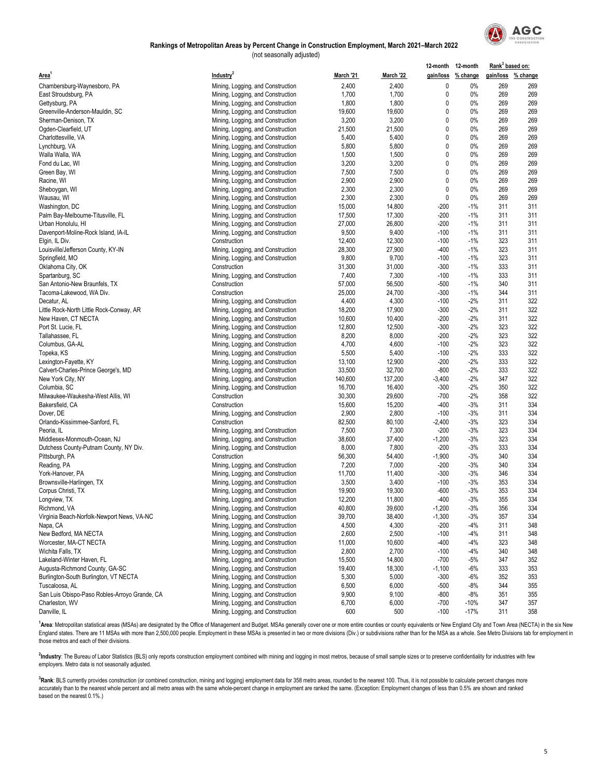

#### (not seasonally adjusted) **Rankings of Metropolitan Areas by Percent Change in Construction Employment, March 2021–March 2022**

| Industry <sup>2</sup><br>gain/loss % change<br>gain/loss % change<br>March '21<br>March '22<br>2,400<br>2,400<br>0<br>0%<br>269<br>269<br>Mining, Logging, and Construction<br>1,700<br>1,700<br>0<br>0%<br>269<br>269<br>Mining, Logging, and Construction<br>269<br>269<br>1,800<br>1,800<br>0<br>0%<br>Mining, Logging, and Construction<br>19,600<br>0<br>269<br>269<br>19,600<br>0%<br>Mining, Logging, and Construction<br>0<br>269<br>Mining, Logging, and Construction<br>3,200<br>3,200<br>0%<br>269<br>0<br>0%<br>269<br>21,500<br>21,500<br>269<br>Mining, Logging, and Construction<br>0<br>5,400<br>0%<br>269<br>Mining, Logging, and Construction<br>5,400<br>269<br>0<br>0%<br>269<br>269<br>5,800<br>5,800<br>Mining, Logging, and Construction<br>0<br>269<br>269<br>1,500<br>1,500<br>0%<br>Mining, Logging, and Construction<br>0%<br>269<br>269<br>Mining, Logging, and Construction<br>3,200<br>3,200<br>0<br>7,500<br>7,500<br>0<br>0%<br>269<br>269<br>Mining, Logging, and Construction<br>0%<br>269<br>Mining, Logging, and Construction<br>2,900<br>2,900<br>0<br>269<br>0<br>269<br>2,300<br>2,300<br>0%<br>269<br>Mining, Logging, and Construction<br>2,300<br>0<br>0%<br>269<br>269<br>2,300<br>Mining, Logging, and Construction<br>14,800<br>$-1%$<br>311<br>311<br>15,000<br>-200<br>Mining, Logging, and Construction<br>17,300<br>$-1%$<br>311<br>Mining, Logging, and Construction<br>17,500<br>$-200$<br>311<br>27,000<br>26,800<br>$-200$<br>$-1%$<br>311<br>311<br>Mining, Logging, and Construction<br>311<br>Mining, Logging, and Construction<br>9,500<br>9,400<br>$-100$<br>$-1%$<br>311<br>311<br>Construction<br>12,400<br>12,300<br>$-100$<br>$-1%$<br>323<br>28,300<br>27,900<br>323<br>311<br>Louisville/Jefferson County, KY-IN<br>-400<br>$-1%$<br>Mining, Logging, and Construction<br>9,800<br>9,700<br>$-1%$<br>323<br>311<br>Mining, Logging, and Construction<br>$-100$<br>31,000<br>333<br>Oklahoma City, OK<br>31,300<br>-300<br>$-1%$<br>311<br>Construction<br>7,400<br>7,300<br>$-100$<br>$-1%$<br>333<br>311<br>Spartanburg, SC<br>Mining, Logging, and Construction<br>57,000<br>56,500<br>$-500$<br>$-1%$<br>340<br>311<br>Construction<br>25,000<br>24,700<br>$-300$<br>$-1%$<br>344<br>311<br>Tacoma-Lakewood, WA Div.<br>Construction<br>$-2%$<br>322<br>4,400<br>4,300<br>$-100$<br>311<br>Decatur, AL<br>Mining, Logging, and Construction<br>17,900<br>$-2%$<br>311<br>322<br>18,200<br>$-300$<br>Little Rock-North Little Rock-Conway, AR<br>Mining, Logging, and Construction<br>$-2%$<br>322<br>10,600<br>10,400<br>-200<br>311<br>New Haven, CT NECTA<br>Mining, Logging, and Construction<br>$-2%$<br>323<br>322<br>Port St. Lucie, FL<br>Mining, Logging, and Construction<br>12,800<br>12,500<br>$-300$<br>322<br>8,200<br>8,000<br>$-200$<br>$-2%$<br>323<br>Tallahassee, FL<br>Mining, Logging, and Construction<br>322<br>323<br>4,700<br>4,600<br>$-100$<br>$-2%$<br>Columbus, GA-AL<br>Mining, Logging, and Construction<br>333<br>322<br>Mining, Logging, and Construction<br>5,500<br>5,400<br>$-100$<br>$-2%$<br>Topeka, KS<br>12,900<br>$-200$<br>$-2%$<br>333<br>322<br>Mining, Logging, and Construction<br>13,100<br>Lexington-Fayette, KY<br>333<br>322<br>Calvert-Charles-Prince George's, MD<br>33,500<br>32,700<br>$-800$<br>$-2%$<br>Mining, Logging, and Construction<br>137,200<br>$-2%$<br>322<br>Mining, Logging, and Construction<br>140,600<br>$-3,400$<br>347<br>New York City, NY<br>322<br>16,700<br>16,400<br>-300<br>$-2%$<br>350<br>Columbia, SC<br>Mining, Logging, and Construction<br>322<br>Milwaukee-Waukesha-West Allis, WI<br>Construction<br>30,300<br>29,600<br>$-700$<br>$-2%$<br>358<br>$-3%$<br>334<br>15,600<br>15,200<br>$-400$<br>311<br>Bakersfield, CA<br>Construction<br>2,800<br>$-3%$<br>334<br>Dover, DE<br>2,900<br>$-100$<br>311<br>Mining, Logging, and Construction<br>80,100<br>$-3%$<br>323<br>334<br>Orlando-Kissimmee-Sanford, FL<br>82,500<br>$-2,400$<br>Construction<br>7,300<br>323<br>334<br>Peoria, IL<br>7,500<br>-200<br>$-3%$<br>Mining, Logging, and Construction<br>334<br>Middlesex-Monmouth-Ocean, NJ<br>38,600<br>37,400<br>$-1,200$<br>$-3%$<br>323<br>Mining, Logging, and Construction<br>334<br>Mining, Logging, and Construction<br>8,000<br>7,800<br>$-200$<br>$-3%$<br>333<br>Dutchess County-Putnam County, NY Div.<br>334<br>56,300<br>54,400<br>$-1,900$<br>$-3%$<br>340<br>Pittsburgh, PA<br>Construction<br>7,000<br>340<br>334<br>Reading, PA<br>7,200<br>$-200$<br>$-3%$<br>Mining, Logging, and Construction<br>11,700<br>11,400<br>$-300$<br>$-3%$<br>346<br>334<br>Mining, Logging, and Construction<br>York-Hanover, PA<br>Brownsville-Harlingen, TX<br>3,500<br>3,400<br>$-100$<br>$-3%$<br>353<br>334<br>Mining, Logging, and Construction<br>334<br>Corpus Christi, TX<br>19,900<br>19,300<br>$-600$<br>-3%<br>353<br>Mining, Logging, and Construction<br>$-3%$<br>334<br>Longview, TX<br>12,200<br>11,800<br>$-400$<br>355<br>Mining, Logging, and Construction<br>Richmond, VA<br>40,800<br>39,600<br>$-1,200$<br>$-3%$<br>356<br>334<br>Mining, Logging, and Construction<br>$-3%$<br>357<br>334<br>Virginia Beach-Norfolk-Newport News, VA-NC<br>Mining, Logging, and Construction<br>39,700<br>38,400<br>$-1,300$<br>4,500<br>4,300<br>$-4%$<br>Mining, Logging, and Construction<br>-200<br>311<br>348<br>Napa, CA<br>2,600<br>348<br>New Bedford, MA NECTA<br>2,500<br>$-100$<br>$-4%$<br>311<br>Mining, Logging, and Construction<br>10,600<br>323<br>Worcester, MA-CT NECTA<br>Mining, Logging, and Construction<br>11,000<br>-400<br>$-4%$<br>348<br>2,800<br>2,700<br>348<br>Wichita Falls, TX<br>Mining, Logging, and Construction<br>$-100$<br>$-4%$<br>340<br>352<br>15,500<br>14,800<br>$-700$<br>$-5%$<br>347<br>Lakeland-Winter Haven, FL<br>Mining, Logging, and Construction<br>18,300<br>333<br>353<br>Augusta-Richmond County, GA-SC<br>Mining, Logging, and Construction<br>19,400<br>$-1,100$<br>-6%<br>5,300<br>5,000<br>352<br>353<br>Burlington-South Burlington, VT NECTA<br>Mining, Logging, and Construction<br>$-300$<br>$-6%$<br>Mining, Logging, and Construction<br>6,500<br>6,000<br>$-500$<br>$-8%$<br>344<br>355<br>San Luis Obispo-Paso Robles-Arroyo Grande, CA<br>Mining, Logging, and Construction<br>9,900<br>9,100<br>-800<br>$-8%$<br>351<br>355 |                                     |                                   |       |       |        | 12-month 12-month | Rank <sup>3</sup> based on: |     |
|-----------------------------------------------------------------------------------------------------------------------------------------------------------------------------------------------------------------------------------------------------------------------------------------------------------------------------------------------------------------------------------------------------------------------------------------------------------------------------------------------------------------------------------------------------------------------------------------------------------------------------------------------------------------------------------------------------------------------------------------------------------------------------------------------------------------------------------------------------------------------------------------------------------------------------------------------------------------------------------------------------------------------------------------------------------------------------------------------------------------------------------------------------------------------------------------------------------------------------------------------------------------------------------------------------------------------------------------------------------------------------------------------------------------------------------------------------------------------------------------------------------------------------------------------------------------------------------------------------------------------------------------------------------------------------------------------------------------------------------------------------------------------------------------------------------------------------------------------------------------------------------------------------------------------------------------------------------------------------------------------------------------------------------------------------------------------------------------------------------------------------------------------------------------------------------------------------------------------------------------------------------------------------------------------------------------------------------------------------------------------------------------------------------------------------------------------------------------------------------------------------------------------------------------------------------------------------------------------------------------------------------------------------------------------------------------------------------------------------------------------------------------------------------------------------------------------------------------------------------------------------------------------------------------------------------------------------------------------------------------------------------------------------------------------------------------------------------------------------------------------------------------------------------------------------------------------------------------------------------------------------------------------------------------------------------------------------------------------------------------------------------------------------------------------------------------------------------------------------------------------------------------------------------------------------------------------------------------------------------------------------------------------------------------------------------------------------------------------------------------------------------------------------------------------------------------------------------------------------------------------------------------------------------------------------------------------------------------------------------------------------------------------------------------------------------------------------------------------------------------------------------------------------------------------------------------------------------------------------------------------------------------------------------------------------------------------------------------------------------------------------------------------------------------------------------------------------------------------------------------------------------------------------------------------------------------------------------------------------------------------------------------------------------------------------------------------------------------------------------------------------------------------------------------------------------------------------------------------------------------------------------------------------------------------------------------------------------------------------------------------------------------------------------------------------------------------------------------------------------------------------------------------------------------------------------------------------------------------------------------------------------------------------------------------------------------------------------------------------------------------------------------------------------------------------------------------------------------------------------------------------------------------------------------------------------------------------------------------------------------------------------------------------------------------------------------------------------------------------------------------------------------------------------------------------------------------------------------------------------------------------------------------------------------------------------------------------------------------------------------------------------------------------------------------------------------------------------------------------------------------------------------------------------------------------------------------------------------------------------------------------------------------------------------------------------------------------------------------------------------------|-------------------------------------|-----------------------------------|-------|-------|--------|-------------------|-----------------------------|-----|
|                                                                                                                                                                                                                                                                                                                                                                                                                                                                                                                                                                                                                                                                                                                                                                                                                                                                                                                                                                                                                                                                                                                                                                                                                                                                                                                                                                                                                                                                                                                                                                                                                                                                                                                                                                                                                                                                                                                                                                                                                                                                                                                                                                                                                                                                                                                                                                                                                                                                                                                                                                                                                                                                                                                                                                                                                                                                                                                                                                                                                                                                                                                                                                                                                                                                                                                                                                                                                                                                                                                                                                                                                                                                                                                                                                                                                                                                                                                                                                                                                                                                                                                                                                                                                                                                                                                                                                                                                                                                                                                                                                                                                                                                                                                                                                                                                                                                                                                                                                                                                                                                                                                                                                                                                                                                                                                                                                                                                                                                                                                                                                                                                                                                                                                                                                                                                                                                                                                                                                                                                                                                                                                                                                                                                                                                                                                                                                       | Area'                               |                                   |       |       |        |                   |                             |     |
|                                                                                                                                                                                                                                                                                                                                                                                                                                                                                                                                                                                                                                                                                                                                                                                                                                                                                                                                                                                                                                                                                                                                                                                                                                                                                                                                                                                                                                                                                                                                                                                                                                                                                                                                                                                                                                                                                                                                                                                                                                                                                                                                                                                                                                                                                                                                                                                                                                                                                                                                                                                                                                                                                                                                                                                                                                                                                                                                                                                                                                                                                                                                                                                                                                                                                                                                                                                                                                                                                                                                                                                                                                                                                                                                                                                                                                                                                                                                                                                                                                                                                                                                                                                                                                                                                                                                                                                                                                                                                                                                                                                                                                                                                                                                                                                                                                                                                                                                                                                                                                                                                                                                                                                                                                                                                                                                                                                                                                                                                                                                                                                                                                                                                                                                                                                                                                                                                                                                                                                                                                                                                                                                                                                                                                                                                                                                                                       | Chambersburg-Waynesboro, PA         |                                   |       |       |        |                   |                             |     |
|                                                                                                                                                                                                                                                                                                                                                                                                                                                                                                                                                                                                                                                                                                                                                                                                                                                                                                                                                                                                                                                                                                                                                                                                                                                                                                                                                                                                                                                                                                                                                                                                                                                                                                                                                                                                                                                                                                                                                                                                                                                                                                                                                                                                                                                                                                                                                                                                                                                                                                                                                                                                                                                                                                                                                                                                                                                                                                                                                                                                                                                                                                                                                                                                                                                                                                                                                                                                                                                                                                                                                                                                                                                                                                                                                                                                                                                                                                                                                                                                                                                                                                                                                                                                                                                                                                                                                                                                                                                                                                                                                                                                                                                                                                                                                                                                                                                                                                                                                                                                                                                                                                                                                                                                                                                                                                                                                                                                                                                                                                                                                                                                                                                                                                                                                                                                                                                                                                                                                                                                                                                                                                                                                                                                                                                                                                                                                                       | East Stroudsburg, PA                |                                   |       |       |        |                   |                             |     |
|                                                                                                                                                                                                                                                                                                                                                                                                                                                                                                                                                                                                                                                                                                                                                                                                                                                                                                                                                                                                                                                                                                                                                                                                                                                                                                                                                                                                                                                                                                                                                                                                                                                                                                                                                                                                                                                                                                                                                                                                                                                                                                                                                                                                                                                                                                                                                                                                                                                                                                                                                                                                                                                                                                                                                                                                                                                                                                                                                                                                                                                                                                                                                                                                                                                                                                                                                                                                                                                                                                                                                                                                                                                                                                                                                                                                                                                                                                                                                                                                                                                                                                                                                                                                                                                                                                                                                                                                                                                                                                                                                                                                                                                                                                                                                                                                                                                                                                                                                                                                                                                                                                                                                                                                                                                                                                                                                                                                                                                                                                                                                                                                                                                                                                                                                                                                                                                                                                                                                                                                                                                                                                                                                                                                                                                                                                                                                                       | Gettysburg, PA                      |                                   |       |       |        |                   |                             |     |
|                                                                                                                                                                                                                                                                                                                                                                                                                                                                                                                                                                                                                                                                                                                                                                                                                                                                                                                                                                                                                                                                                                                                                                                                                                                                                                                                                                                                                                                                                                                                                                                                                                                                                                                                                                                                                                                                                                                                                                                                                                                                                                                                                                                                                                                                                                                                                                                                                                                                                                                                                                                                                                                                                                                                                                                                                                                                                                                                                                                                                                                                                                                                                                                                                                                                                                                                                                                                                                                                                                                                                                                                                                                                                                                                                                                                                                                                                                                                                                                                                                                                                                                                                                                                                                                                                                                                                                                                                                                                                                                                                                                                                                                                                                                                                                                                                                                                                                                                                                                                                                                                                                                                                                                                                                                                                                                                                                                                                                                                                                                                                                                                                                                                                                                                                                                                                                                                                                                                                                                                                                                                                                                                                                                                                                                                                                                                                                       | Greenville-Anderson-Mauldin, SC     |                                   |       |       |        |                   |                             |     |
|                                                                                                                                                                                                                                                                                                                                                                                                                                                                                                                                                                                                                                                                                                                                                                                                                                                                                                                                                                                                                                                                                                                                                                                                                                                                                                                                                                                                                                                                                                                                                                                                                                                                                                                                                                                                                                                                                                                                                                                                                                                                                                                                                                                                                                                                                                                                                                                                                                                                                                                                                                                                                                                                                                                                                                                                                                                                                                                                                                                                                                                                                                                                                                                                                                                                                                                                                                                                                                                                                                                                                                                                                                                                                                                                                                                                                                                                                                                                                                                                                                                                                                                                                                                                                                                                                                                                                                                                                                                                                                                                                                                                                                                                                                                                                                                                                                                                                                                                                                                                                                                                                                                                                                                                                                                                                                                                                                                                                                                                                                                                                                                                                                                                                                                                                                                                                                                                                                                                                                                                                                                                                                                                                                                                                                                                                                                                                                       | Sherman-Denison, TX                 |                                   |       |       |        |                   |                             |     |
|                                                                                                                                                                                                                                                                                                                                                                                                                                                                                                                                                                                                                                                                                                                                                                                                                                                                                                                                                                                                                                                                                                                                                                                                                                                                                                                                                                                                                                                                                                                                                                                                                                                                                                                                                                                                                                                                                                                                                                                                                                                                                                                                                                                                                                                                                                                                                                                                                                                                                                                                                                                                                                                                                                                                                                                                                                                                                                                                                                                                                                                                                                                                                                                                                                                                                                                                                                                                                                                                                                                                                                                                                                                                                                                                                                                                                                                                                                                                                                                                                                                                                                                                                                                                                                                                                                                                                                                                                                                                                                                                                                                                                                                                                                                                                                                                                                                                                                                                                                                                                                                                                                                                                                                                                                                                                                                                                                                                                                                                                                                                                                                                                                                                                                                                                                                                                                                                                                                                                                                                                                                                                                                                                                                                                                                                                                                                                                       | Ogden-Clearfield, UT                |                                   |       |       |        |                   |                             |     |
|                                                                                                                                                                                                                                                                                                                                                                                                                                                                                                                                                                                                                                                                                                                                                                                                                                                                                                                                                                                                                                                                                                                                                                                                                                                                                                                                                                                                                                                                                                                                                                                                                                                                                                                                                                                                                                                                                                                                                                                                                                                                                                                                                                                                                                                                                                                                                                                                                                                                                                                                                                                                                                                                                                                                                                                                                                                                                                                                                                                                                                                                                                                                                                                                                                                                                                                                                                                                                                                                                                                                                                                                                                                                                                                                                                                                                                                                                                                                                                                                                                                                                                                                                                                                                                                                                                                                                                                                                                                                                                                                                                                                                                                                                                                                                                                                                                                                                                                                                                                                                                                                                                                                                                                                                                                                                                                                                                                                                                                                                                                                                                                                                                                                                                                                                                                                                                                                                                                                                                                                                                                                                                                                                                                                                                                                                                                                                                       | Charlottesville, VA                 |                                   |       |       |        |                   |                             |     |
|                                                                                                                                                                                                                                                                                                                                                                                                                                                                                                                                                                                                                                                                                                                                                                                                                                                                                                                                                                                                                                                                                                                                                                                                                                                                                                                                                                                                                                                                                                                                                                                                                                                                                                                                                                                                                                                                                                                                                                                                                                                                                                                                                                                                                                                                                                                                                                                                                                                                                                                                                                                                                                                                                                                                                                                                                                                                                                                                                                                                                                                                                                                                                                                                                                                                                                                                                                                                                                                                                                                                                                                                                                                                                                                                                                                                                                                                                                                                                                                                                                                                                                                                                                                                                                                                                                                                                                                                                                                                                                                                                                                                                                                                                                                                                                                                                                                                                                                                                                                                                                                                                                                                                                                                                                                                                                                                                                                                                                                                                                                                                                                                                                                                                                                                                                                                                                                                                                                                                                                                                                                                                                                                                                                                                                                                                                                                                                       | Lynchburg, VA                       |                                   |       |       |        |                   |                             |     |
|                                                                                                                                                                                                                                                                                                                                                                                                                                                                                                                                                                                                                                                                                                                                                                                                                                                                                                                                                                                                                                                                                                                                                                                                                                                                                                                                                                                                                                                                                                                                                                                                                                                                                                                                                                                                                                                                                                                                                                                                                                                                                                                                                                                                                                                                                                                                                                                                                                                                                                                                                                                                                                                                                                                                                                                                                                                                                                                                                                                                                                                                                                                                                                                                                                                                                                                                                                                                                                                                                                                                                                                                                                                                                                                                                                                                                                                                                                                                                                                                                                                                                                                                                                                                                                                                                                                                                                                                                                                                                                                                                                                                                                                                                                                                                                                                                                                                                                                                                                                                                                                                                                                                                                                                                                                                                                                                                                                                                                                                                                                                                                                                                                                                                                                                                                                                                                                                                                                                                                                                                                                                                                                                                                                                                                                                                                                                                                       | Walla Walla, WA                     |                                   |       |       |        |                   |                             |     |
|                                                                                                                                                                                                                                                                                                                                                                                                                                                                                                                                                                                                                                                                                                                                                                                                                                                                                                                                                                                                                                                                                                                                                                                                                                                                                                                                                                                                                                                                                                                                                                                                                                                                                                                                                                                                                                                                                                                                                                                                                                                                                                                                                                                                                                                                                                                                                                                                                                                                                                                                                                                                                                                                                                                                                                                                                                                                                                                                                                                                                                                                                                                                                                                                                                                                                                                                                                                                                                                                                                                                                                                                                                                                                                                                                                                                                                                                                                                                                                                                                                                                                                                                                                                                                                                                                                                                                                                                                                                                                                                                                                                                                                                                                                                                                                                                                                                                                                                                                                                                                                                                                                                                                                                                                                                                                                                                                                                                                                                                                                                                                                                                                                                                                                                                                                                                                                                                                                                                                                                                                                                                                                                                                                                                                                                                                                                                                                       | Fond du Lac, WI                     |                                   |       |       |        |                   |                             |     |
|                                                                                                                                                                                                                                                                                                                                                                                                                                                                                                                                                                                                                                                                                                                                                                                                                                                                                                                                                                                                                                                                                                                                                                                                                                                                                                                                                                                                                                                                                                                                                                                                                                                                                                                                                                                                                                                                                                                                                                                                                                                                                                                                                                                                                                                                                                                                                                                                                                                                                                                                                                                                                                                                                                                                                                                                                                                                                                                                                                                                                                                                                                                                                                                                                                                                                                                                                                                                                                                                                                                                                                                                                                                                                                                                                                                                                                                                                                                                                                                                                                                                                                                                                                                                                                                                                                                                                                                                                                                                                                                                                                                                                                                                                                                                                                                                                                                                                                                                                                                                                                                                                                                                                                                                                                                                                                                                                                                                                                                                                                                                                                                                                                                                                                                                                                                                                                                                                                                                                                                                                                                                                                                                                                                                                                                                                                                                                                       | Green Bay, WI                       |                                   |       |       |        |                   |                             |     |
|                                                                                                                                                                                                                                                                                                                                                                                                                                                                                                                                                                                                                                                                                                                                                                                                                                                                                                                                                                                                                                                                                                                                                                                                                                                                                                                                                                                                                                                                                                                                                                                                                                                                                                                                                                                                                                                                                                                                                                                                                                                                                                                                                                                                                                                                                                                                                                                                                                                                                                                                                                                                                                                                                                                                                                                                                                                                                                                                                                                                                                                                                                                                                                                                                                                                                                                                                                                                                                                                                                                                                                                                                                                                                                                                                                                                                                                                                                                                                                                                                                                                                                                                                                                                                                                                                                                                                                                                                                                                                                                                                                                                                                                                                                                                                                                                                                                                                                                                                                                                                                                                                                                                                                                                                                                                                                                                                                                                                                                                                                                                                                                                                                                                                                                                                                                                                                                                                                                                                                                                                                                                                                                                                                                                                                                                                                                                                                       | Racine, WI                          |                                   |       |       |        |                   |                             |     |
|                                                                                                                                                                                                                                                                                                                                                                                                                                                                                                                                                                                                                                                                                                                                                                                                                                                                                                                                                                                                                                                                                                                                                                                                                                                                                                                                                                                                                                                                                                                                                                                                                                                                                                                                                                                                                                                                                                                                                                                                                                                                                                                                                                                                                                                                                                                                                                                                                                                                                                                                                                                                                                                                                                                                                                                                                                                                                                                                                                                                                                                                                                                                                                                                                                                                                                                                                                                                                                                                                                                                                                                                                                                                                                                                                                                                                                                                                                                                                                                                                                                                                                                                                                                                                                                                                                                                                                                                                                                                                                                                                                                                                                                                                                                                                                                                                                                                                                                                                                                                                                                                                                                                                                                                                                                                                                                                                                                                                                                                                                                                                                                                                                                                                                                                                                                                                                                                                                                                                                                                                                                                                                                                                                                                                                                                                                                                                                       | Sheboygan, WI                       |                                   |       |       |        |                   |                             |     |
|                                                                                                                                                                                                                                                                                                                                                                                                                                                                                                                                                                                                                                                                                                                                                                                                                                                                                                                                                                                                                                                                                                                                                                                                                                                                                                                                                                                                                                                                                                                                                                                                                                                                                                                                                                                                                                                                                                                                                                                                                                                                                                                                                                                                                                                                                                                                                                                                                                                                                                                                                                                                                                                                                                                                                                                                                                                                                                                                                                                                                                                                                                                                                                                                                                                                                                                                                                                                                                                                                                                                                                                                                                                                                                                                                                                                                                                                                                                                                                                                                                                                                                                                                                                                                                                                                                                                                                                                                                                                                                                                                                                                                                                                                                                                                                                                                                                                                                                                                                                                                                                                                                                                                                                                                                                                                                                                                                                                                                                                                                                                                                                                                                                                                                                                                                                                                                                                                                                                                                                                                                                                                                                                                                                                                                                                                                                                                                       | Wausau, WI                          |                                   |       |       |        |                   |                             |     |
|                                                                                                                                                                                                                                                                                                                                                                                                                                                                                                                                                                                                                                                                                                                                                                                                                                                                                                                                                                                                                                                                                                                                                                                                                                                                                                                                                                                                                                                                                                                                                                                                                                                                                                                                                                                                                                                                                                                                                                                                                                                                                                                                                                                                                                                                                                                                                                                                                                                                                                                                                                                                                                                                                                                                                                                                                                                                                                                                                                                                                                                                                                                                                                                                                                                                                                                                                                                                                                                                                                                                                                                                                                                                                                                                                                                                                                                                                                                                                                                                                                                                                                                                                                                                                                                                                                                                                                                                                                                                                                                                                                                                                                                                                                                                                                                                                                                                                                                                                                                                                                                                                                                                                                                                                                                                                                                                                                                                                                                                                                                                                                                                                                                                                                                                                                                                                                                                                                                                                                                                                                                                                                                                                                                                                                                                                                                                                                       | Washington, DC                      |                                   |       |       |        |                   |                             |     |
|                                                                                                                                                                                                                                                                                                                                                                                                                                                                                                                                                                                                                                                                                                                                                                                                                                                                                                                                                                                                                                                                                                                                                                                                                                                                                                                                                                                                                                                                                                                                                                                                                                                                                                                                                                                                                                                                                                                                                                                                                                                                                                                                                                                                                                                                                                                                                                                                                                                                                                                                                                                                                                                                                                                                                                                                                                                                                                                                                                                                                                                                                                                                                                                                                                                                                                                                                                                                                                                                                                                                                                                                                                                                                                                                                                                                                                                                                                                                                                                                                                                                                                                                                                                                                                                                                                                                                                                                                                                                                                                                                                                                                                                                                                                                                                                                                                                                                                                                                                                                                                                                                                                                                                                                                                                                                                                                                                                                                                                                                                                                                                                                                                                                                                                                                                                                                                                                                                                                                                                                                                                                                                                                                                                                                                                                                                                                                                       | Palm Bay-Melbourne-Titusville, FL   |                                   |       |       |        |                   |                             |     |
|                                                                                                                                                                                                                                                                                                                                                                                                                                                                                                                                                                                                                                                                                                                                                                                                                                                                                                                                                                                                                                                                                                                                                                                                                                                                                                                                                                                                                                                                                                                                                                                                                                                                                                                                                                                                                                                                                                                                                                                                                                                                                                                                                                                                                                                                                                                                                                                                                                                                                                                                                                                                                                                                                                                                                                                                                                                                                                                                                                                                                                                                                                                                                                                                                                                                                                                                                                                                                                                                                                                                                                                                                                                                                                                                                                                                                                                                                                                                                                                                                                                                                                                                                                                                                                                                                                                                                                                                                                                                                                                                                                                                                                                                                                                                                                                                                                                                                                                                                                                                                                                                                                                                                                                                                                                                                                                                                                                                                                                                                                                                                                                                                                                                                                                                                                                                                                                                                                                                                                                                                                                                                                                                                                                                                                                                                                                                                                       | Urban Honolulu, HI                  |                                   |       |       |        |                   |                             |     |
|                                                                                                                                                                                                                                                                                                                                                                                                                                                                                                                                                                                                                                                                                                                                                                                                                                                                                                                                                                                                                                                                                                                                                                                                                                                                                                                                                                                                                                                                                                                                                                                                                                                                                                                                                                                                                                                                                                                                                                                                                                                                                                                                                                                                                                                                                                                                                                                                                                                                                                                                                                                                                                                                                                                                                                                                                                                                                                                                                                                                                                                                                                                                                                                                                                                                                                                                                                                                                                                                                                                                                                                                                                                                                                                                                                                                                                                                                                                                                                                                                                                                                                                                                                                                                                                                                                                                                                                                                                                                                                                                                                                                                                                                                                                                                                                                                                                                                                                                                                                                                                                                                                                                                                                                                                                                                                                                                                                                                                                                                                                                                                                                                                                                                                                                                                                                                                                                                                                                                                                                                                                                                                                                                                                                                                                                                                                                                                       | Davenport-Moline-Rock Island, IA-IL |                                   |       |       |        |                   |                             |     |
|                                                                                                                                                                                                                                                                                                                                                                                                                                                                                                                                                                                                                                                                                                                                                                                                                                                                                                                                                                                                                                                                                                                                                                                                                                                                                                                                                                                                                                                                                                                                                                                                                                                                                                                                                                                                                                                                                                                                                                                                                                                                                                                                                                                                                                                                                                                                                                                                                                                                                                                                                                                                                                                                                                                                                                                                                                                                                                                                                                                                                                                                                                                                                                                                                                                                                                                                                                                                                                                                                                                                                                                                                                                                                                                                                                                                                                                                                                                                                                                                                                                                                                                                                                                                                                                                                                                                                                                                                                                                                                                                                                                                                                                                                                                                                                                                                                                                                                                                                                                                                                                                                                                                                                                                                                                                                                                                                                                                                                                                                                                                                                                                                                                                                                                                                                                                                                                                                                                                                                                                                                                                                                                                                                                                                                                                                                                                                                       | Elgin, IL Div.                      |                                   |       |       |        |                   |                             |     |
|                                                                                                                                                                                                                                                                                                                                                                                                                                                                                                                                                                                                                                                                                                                                                                                                                                                                                                                                                                                                                                                                                                                                                                                                                                                                                                                                                                                                                                                                                                                                                                                                                                                                                                                                                                                                                                                                                                                                                                                                                                                                                                                                                                                                                                                                                                                                                                                                                                                                                                                                                                                                                                                                                                                                                                                                                                                                                                                                                                                                                                                                                                                                                                                                                                                                                                                                                                                                                                                                                                                                                                                                                                                                                                                                                                                                                                                                                                                                                                                                                                                                                                                                                                                                                                                                                                                                                                                                                                                                                                                                                                                                                                                                                                                                                                                                                                                                                                                                                                                                                                                                                                                                                                                                                                                                                                                                                                                                                                                                                                                                                                                                                                                                                                                                                                                                                                                                                                                                                                                                                                                                                                                                                                                                                                                                                                                                                                       |                                     |                                   |       |       |        |                   |                             |     |
|                                                                                                                                                                                                                                                                                                                                                                                                                                                                                                                                                                                                                                                                                                                                                                                                                                                                                                                                                                                                                                                                                                                                                                                                                                                                                                                                                                                                                                                                                                                                                                                                                                                                                                                                                                                                                                                                                                                                                                                                                                                                                                                                                                                                                                                                                                                                                                                                                                                                                                                                                                                                                                                                                                                                                                                                                                                                                                                                                                                                                                                                                                                                                                                                                                                                                                                                                                                                                                                                                                                                                                                                                                                                                                                                                                                                                                                                                                                                                                                                                                                                                                                                                                                                                                                                                                                                                                                                                                                                                                                                                                                                                                                                                                                                                                                                                                                                                                                                                                                                                                                                                                                                                                                                                                                                                                                                                                                                                                                                                                                                                                                                                                                                                                                                                                                                                                                                                                                                                                                                                                                                                                                                                                                                                                                                                                                                                                       | Springfield, MO                     |                                   |       |       |        |                   |                             |     |
|                                                                                                                                                                                                                                                                                                                                                                                                                                                                                                                                                                                                                                                                                                                                                                                                                                                                                                                                                                                                                                                                                                                                                                                                                                                                                                                                                                                                                                                                                                                                                                                                                                                                                                                                                                                                                                                                                                                                                                                                                                                                                                                                                                                                                                                                                                                                                                                                                                                                                                                                                                                                                                                                                                                                                                                                                                                                                                                                                                                                                                                                                                                                                                                                                                                                                                                                                                                                                                                                                                                                                                                                                                                                                                                                                                                                                                                                                                                                                                                                                                                                                                                                                                                                                                                                                                                                                                                                                                                                                                                                                                                                                                                                                                                                                                                                                                                                                                                                                                                                                                                                                                                                                                                                                                                                                                                                                                                                                                                                                                                                                                                                                                                                                                                                                                                                                                                                                                                                                                                                                                                                                                                                                                                                                                                                                                                                                                       |                                     |                                   |       |       |        |                   |                             |     |
|                                                                                                                                                                                                                                                                                                                                                                                                                                                                                                                                                                                                                                                                                                                                                                                                                                                                                                                                                                                                                                                                                                                                                                                                                                                                                                                                                                                                                                                                                                                                                                                                                                                                                                                                                                                                                                                                                                                                                                                                                                                                                                                                                                                                                                                                                                                                                                                                                                                                                                                                                                                                                                                                                                                                                                                                                                                                                                                                                                                                                                                                                                                                                                                                                                                                                                                                                                                                                                                                                                                                                                                                                                                                                                                                                                                                                                                                                                                                                                                                                                                                                                                                                                                                                                                                                                                                                                                                                                                                                                                                                                                                                                                                                                                                                                                                                                                                                                                                                                                                                                                                                                                                                                                                                                                                                                                                                                                                                                                                                                                                                                                                                                                                                                                                                                                                                                                                                                                                                                                                                                                                                                                                                                                                                                                                                                                                                                       |                                     |                                   |       |       |        |                   |                             |     |
|                                                                                                                                                                                                                                                                                                                                                                                                                                                                                                                                                                                                                                                                                                                                                                                                                                                                                                                                                                                                                                                                                                                                                                                                                                                                                                                                                                                                                                                                                                                                                                                                                                                                                                                                                                                                                                                                                                                                                                                                                                                                                                                                                                                                                                                                                                                                                                                                                                                                                                                                                                                                                                                                                                                                                                                                                                                                                                                                                                                                                                                                                                                                                                                                                                                                                                                                                                                                                                                                                                                                                                                                                                                                                                                                                                                                                                                                                                                                                                                                                                                                                                                                                                                                                                                                                                                                                                                                                                                                                                                                                                                                                                                                                                                                                                                                                                                                                                                                                                                                                                                                                                                                                                                                                                                                                                                                                                                                                                                                                                                                                                                                                                                                                                                                                                                                                                                                                                                                                                                                                                                                                                                                                                                                                                                                                                                                                                       | San Antonio-New Braunfels, TX       |                                   |       |       |        |                   |                             |     |
|                                                                                                                                                                                                                                                                                                                                                                                                                                                                                                                                                                                                                                                                                                                                                                                                                                                                                                                                                                                                                                                                                                                                                                                                                                                                                                                                                                                                                                                                                                                                                                                                                                                                                                                                                                                                                                                                                                                                                                                                                                                                                                                                                                                                                                                                                                                                                                                                                                                                                                                                                                                                                                                                                                                                                                                                                                                                                                                                                                                                                                                                                                                                                                                                                                                                                                                                                                                                                                                                                                                                                                                                                                                                                                                                                                                                                                                                                                                                                                                                                                                                                                                                                                                                                                                                                                                                                                                                                                                                                                                                                                                                                                                                                                                                                                                                                                                                                                                                                                                                                                                                                                                                                                                                                                                                                                                                                                                                                                                                                                                                                                                                                                                                                                                                                                                                                                                                                                                                                                                                                                                                                                                                                                                                                                                                                                                                                                       |                                     |                                   |       |       |        |                   |                             |     |
|                                                                                                                                                                                                                                                                                                                                                                                                                                                                                                                                                                                                                                                                                                                                                                                                                                                                                                                                                                                                                                                                                                                                                                                                                                                                                                                                                                                                                                                                                                                                                                                                                                                                                                                                                                                                                                                                                                                                                                                                                                                                                                                                                                                                                                                                                                                                                                                                                                                                                                                                                                                                                                                                                                                                                                                                                                                                                                                                                                                                                                                                                                                                                                                                                                                                                                                                                                                                                                                                                                                                                                                                                                                                                                                                                                                                                                                                                                                                                                                                                                                                                                                                                                                                                                                                                                                                                                                                                                                                                                                                                                                                                                                                                                                                                                                                                                                                                                                                                                                                                                                                                                                                                                                                                                                                                                                                                                                                                                                                                                                                                                                                                                                                                                                                                                                                                                                                                                                                                                                                                                                                                                                                                                                                                                                                                                                                                                       |                                     |                                   |       |       |        |                   |                             |     |
|                                                                                                                                                                                                                                                                                                                                                                                                                                                                                                                                                                                                                                                                                                                                                                                                                                                                                                                                                                                                                                                                                                                                                                                                                                                                                                                                                                                                                                                                                                                                                                                                                                                                                                                                                                                                                                                                                                                                                                                                                                                                                                                                                                                                                                                                                                                                                                                                                                                                                                                                                                                                                                                                                                                                                                                                                                                                                                                                                                                                                                                                                                                                                                                                                                                                                                                                                                                                                                                                                                                                                                                                                                                                                                                                                                                                                                                                                                                                                                                                                                                                                                                                                                                                                                                                                                                                                                                                                                                                                                                                                                                                                                                                                                                                                                                                                                                                                                                                                                                                                                                                                                                                                                                                                                                                                                                                                                                                                                                                                                                                                                                                                                                                                                                                                                                                                                                                                                                                                                                                                                                                                                                                                                                                                                                                                                                                                                       |                                     |                                   |       |       |        |                   |                             |     |
|                                                                                                                                                                                                                                                                                                                                                                                                                                                                                                                                                                                                                                                                                                                                                                                                                                                                                                                                                                                                                                                                                                                                                                                                                                                                                                                                                                                                                                                                                                                                                                                                                                                                                                                                                                                                                                                                                                                                                                                                                                                                                                                                                                                                                                                                                                                                                                                                                                                                                                                                                                                                                                                                                                                                                                                                                                                                                                                                                                                                                                                                                                                                                                                                                                                                                                                                                                                                                                                                                                                                                                                                                                                                                                                                                                                                                                                                                                                                                                                                                                                                                                                                                                                                                                                                                                                                                                                                                                                                                                                                                                                                                                                                                                                                                                                                                                                                                                                                                                                                                                                                                                                                                                                                                                                                                                                                                                                                                                                                                                                                                                                                                                                                                                                                                                                                                                                                                                                                                                                                                                                                                                                                                                                                                                                                                                                                                                       |                                     |                                   |       |       |        |                   |                             |     |
|                                                                                                                                                                                                                                                                                                                                                                                                                                                                                                                                                                                                                                                                                                                                                                                                                                                                                                                                                                                                                                                                                                                                                                                                                                                                                                                                                                                                                                                                                                                                                                                                                                                                                                                                                                                                                                                                                                                                                                                                                                                                                                                                                                                                                                                                                                                                                                                                                                                                                                                                                                                                                                                                                                                                                                                                                                                                                                                                                                                                                                                                                                                                                                                                                                                                                                                                                                                                                                                                                                                                                                                                                                                                                                                                                                                                                                                                                                                                                                                                                                                                                                                                                                                                                                                                                                                                                                                                                                                                                                                                                                                                                                                                                                                                                                                                                                                                                                                                                                                                                                                                                                                                                                                                                                                                                                                                                                                                                                                                                                                                                                                                                                                                                                                                                                                                                                                                                                                                                                                                                                                                                                                                                                                                                                                                                                                                                                       |                                     |                                   |       |       |        |                   |                             |     |
|                                                                                                                                                                                                                                                                                                                                                                                                                                                                                                                                                                                                                                                                                                                                                                                                                                                                                                                                                                                                                                                                                                                                                                                                                                                                                                                                                                                                                                                                                                                                                                                                                                                                                                                                                                                                                                                                                                                                                                                                                                                                                                                                                                                                                                                                                                                                                                                                                                                                                                                                                                                                                                                                                                                                                                                                                                                                                                                                                                                                                                                                                                                                                                                                                                                                                                                                                                                                                                                                                                                                                                                                                                                                                                                                                                                                                                                                                                                                                                                                                                                                                                                                                                                                                                                                                                                                                                                                                                                                                                                                                                                                                                                                                                                                                                                                                                                                                                                                                                                                                                                                                                                                                                                                                                                                                                                                                                                                                                                                                                                                                                                                                                                                                                                                                                                                                                                                                                                                                                                                                                                                                                                                                                                                                                                                                                                                                                       |                                     |                                   |       |       |        |                   |                             |     |
|                                                                                                                                                                                                                                                                                                                                                                                                                                                                                                                                                                                                                                                                                                                                                                                                                                                                                                                                                                                                                                                                                                                                                                                                                                                                                                                                                                                                                                                                                                                                                                                                                                                                                                                                                                                                                                                                                                                                                                                                                                                                                                                                                                                                                                                                                                                                                                                                                                                                                                                                                                                                                                                                                                                                                                                                                                                                                                                                                                                                                                                                                                                                                                                                                                                                                                                                                                                                                                                                                                                                                                                                                                                                                                                                                                                                                                                                                                                                                                                                                                                                                                                                                                                                                                                                                                                                                                                                                                                                                                                                                                                                                                                                                                                                                                                                                                                                                                                                                                                                                                                                                                                                                                                                                                                                                                                                                                                                                                                                                                                                                                                                                                                                                                                                                                                                                                                                                                                                                                                                                                                                                                                                                                                                                                                                                                                                                                       |                                     |                                   |       |       |        |                   |                             |     |
|                                                                                                                                                                                                                                                                                                                                                                                                                                                                                                                                                                                                                                                                                                                                                                                                                                                                                                                                                                                                                                                                                                                                                                                                                                                                                                                                                                                                                                                                                                                                                                                                                                                                                                                                                                                                                                                                                                                                                                                                                                                                                                                                                                                                                                                                                                                                                                                                                                                                                                                                                                                                                                                                                                                                                                                                                                                                                                                                                                                                                                                                                                                                                                                                                                                                                                                                                                                                                                                                                                                                                                                                                                                                                                                                                                                                                                                                                                                                                                                                                                                                                                                                                                                                                                                                                                                                                                                                                                                                                                                                                                                                                                                                                                                                                                                                                                                                                                                                                                                                                                                                                                                                                                                                                                                                                                                                                                                                                                                                                                                                                                                                                                                                                                                                                                                                                                                                                                                                                                                                                                                                                                                                                                                                                                                                                                                                                                       |                                     |                                   |       |       |        |                   |                             |     |
|                                                                                                                                                                                                                                                                                                                                                                                                                                                                                                                                                                                                                                                                                                                                                                                                                                                                                                                                                                                                                                                                                                                                                                                                                                                                                                                                                                                                                                                                                                                                                                                                                                                                                                                                                                                                                                                                                                                                                                                                                                                                                                                                                                                                                                                                                                                                                                                                                                                                                                                                                                                                                                                                                                                                                                                                                                                                                                                                                                                                                                                                                                                                                                                                                                                                                                                                                                                                                                                                                                                                                                                                                                                                                                                                                                                                                                                                                                                                                                                                                                                                                                                                                                                                                                                                                                                                                                                                                                                                                                                                                                                                                                                                                                                                                                                                                                                                                                                                                                                                                                                                                                                                                                                                                                                                                                                                                                                                                                                                                                                                                                                                                                                                                                                                                                                                                                                                                                                                                                                                                                                                                                                                                                                                                                                                                                                                                                       |                                     |                                   |       |       |        |                   |                             |     |
|                                                                                                                                                                                                                                                                                                                                                                                                                                                                                                                                                                                                                                                                                                                                                                                                                                                                                                                                                                                                                                                                                                                                                                                                                                                                                                                                                                                                                                                                                                                                                                                                                                                                                                                                                                                                                                                                                                                                                                                                                                                                                                                                                                                                                                                                                                                                                                                                                                                                                                                                                                                                                                                                                                                                                                                                                                                                                                                                                                                                                                                                                                                                                                                                                                                                                                                                                                                                                                                                                                                                                                                                                                                                                                                                                                                                                                                                                                                                                                                                                                                                                                                                                                                                                                                                                                                                                                                                                                                                                                                                                                                                                                                                                                                                                                                                                                                                                                                                                                                                                                                                                                                                                                                                                                                                                                                                                                                                                                                                                                                                                                                                                                                                                                                                                                                                                                                                                                                                                                                                                                                                                                                                                                                                                                                                                                                                                                       |                                     |                                   |       |       |        |                   |                             |     |
|                                                                                                                                                                                                                                                                                                                                                                                                                                                                                                                                                                                                                                                                                                                                                                                                                                                                                                                                                                                                                                                                                                                                                                                                                                                                                                                                                                                                                                                                                                                                                                                                                                                                                                                                                                                                                                                                                                                                                                                                                                                                                                                                                                                                                                                                                                                                                                                                                                                                                                                                                                                                                                                                                                                                                                                                                                                                                                                                                                                                                                                                                                                                                                                                                                                                                                                                                                                                                                                                                                                                                                                                                                                                                                                                                                                                                                                                                                                                                                                                                                                                                                                                                                                                                                                                                                                                                                                                                                                                                                                                                                                                                                                                                                                                                                                                                                                                                                                                                                                                                                                                                                                                                                                                                                                                                                                                                                                                                                                                                                                                                                                                                                                                                                                                                                                                                                                                                                                                                                                                                                                                                                                                                                                                                                                                                                                                                                       |                                     |                                   |       |       |        |                   |                             |     |
|                                                                                                                                                                                                                                                                                                                                                                                                                                                                                                                                                                                                                                                                                                                                                                                                                                                                                                                                                                                                                                                                                                                                                                                                                                                                                                                                                                                                                                                                                                                                                                                                                                                                                                                                                                                                                                                                                                                                                                                                                                                                                                                                                                                                                                                                                                                                                                                                                                                                                                                                                                                                                                                                                                                                                                                                                                                                                                                                                                                                                                                                                                                                                                                                                                                                                                                                                                                                                                                                                                                                                                                                                                                                                                                                                                                                                                                                                                                                                                                                                                                                                                                                                                                                                                                                                                                                                                                                                                                                                                                                                                                                                                                                                                                                                                                                                                                                                                                                                                                                                                                                                                                                                                                                                                                                                                                                                                                                                                                                                                                                                                                                                                                                                                                                                                                                                                                                                                                                                                                                                                                                                                                                                                                                                                                                                                                                                                       |                                     |                                   |       |       |        |                   |                             |     |
|                                                                                                                                                                                                                                                                                                                                                                                                                                                                                                                                                                                                                                                                                                                                                                                                                                                                                                                                                                                                                                                                                                                                                                                                                                                                                                                                                                                                                                                                                                                                                                                                                                                                                                                                                                                                                                                                                                                                                                                                                                                                                                                                                                                                                                                                                                                                                                                                                                                                                                                                                                                                                                                                                                                                                                                                                                                                                                                                                                                                                                                                                                                                                                                                                                                                                                                                                                                                                                                                                                                                                                                                                                                                                                                                                                                                                                                                                                                                                                                                                                                                                                                                                                                                                                                                                                                                                                                                                                                                                                                                                                                                                                                                                                                                                                                                                                                                                                                                                                                                                                                                                                                                                                                                                                                                                                                                                                                                                                                                                                                                                                                                                                                                                                                                                                                                                                                                                                                                                                                                                                                                                                                                                                                                                                                                                                                                                                       |                                     |                                   |       |       |        |                   |                             |     |
|                                                                                                                                                                                                                                                                                                                                                                                                                                                                                                                                                                                                                                                                                                                                                                                                                                                                                                                                                                                                                                                                                                                                                                                                                                                                                                                                                                                                                                                                                                                                                                                                                                                                                                                                                                                                                                                                                                                                                                                                                                                                                                                                                                                                                                                                                                                                                                                                                                                                                                                                                                                                                                                                                                                                                                                                                                                                                                                                                                                                                                                                                                                                                                                                                                                                                                                                                                                                                                                                                                                                                                                                                                                                                                                                                                                                                                                                                                                                                                                                                                                                                                                                                                                                                                                                                                                                                                                                                                                                                                                                                                                                                                                                                                                                                                                                                                                                                                                                                                                                                                                                                                                                                                                                                                                                                                                                                                                                                                                                                                                                                                                                                                                                                                                                                                                                                                                                                                                                                                                                                                                                                                                                                                                                                                                                                                                                                                       |                                     |                                   |       |       |        |                   |                             |     |
|                                                                                                                                                                                                                                                                                                                                                                                                                                                                                                                                                                                                                                                                                                                                                                                                                                                                                                                                                                                                                                                                                                                                                                                                                                                                                                                                                                                                                                                                                                                                                                                                                                                                                                                                                                                                                                                                                                                                                                                                                                                                                                                                                                                                                                                                                                                                                                                                                                                                                                                                                                                                                                                                                                                                                                                                                                                                                                                                                                                                                                                                                                                                                                                                                                                                                                                                                                                                                                                                                                                                                                                                                                                                                                                                                                                                                                                                                                                                                                                                                                                                                                                                                                                                                                                                                                                                                                                                                                                                                                                                                                                                                                                                                                                                                                                                                                                                                                                                                                                                                                                                                                                                                                                                                                                                                                                                                                                                                                                                                                                                                                                                                                                                                                                                                                                                                                                                                                                                                                                                                                                                                                                                                                                                                                                                                                                                                                       |                                     |                                   |       |       |        |                   |                             |     |
|                                                                                                                                                                                                                                                                                                                                                                                                                                                                                                                                                                                                                                                                                                                                                                                                                                                                                                                                                                                                                                                                                                                                                                                                                                                                                                                                                                                                                                                                                                                                                                                                                                                                                                                                                                                                                                                                                                                                                                                                                                                                                                                                                                                                                                                                                                                                                                                                                                                                                                                                                                                                                                                                                                                                                                                                                                                                                                                                                                                                                                                                                                                                                                                                                                                                                                                                                                                                                                                                                                                                                                                                                                                                                                                                                                                                                                                                                                                                                                                                                                                                                                                                                                                                                                                                                                                                                                                                                                                                                                                                                                                                                                                                                                                                                                                                                                                                                                                                                                                                                                                                                                                                                                                                                                                                                                                                                                                                                                                                                                                                                                                                                                                                                                                                                                                                                                                                                                                                                                                                                                                                                                                                                                                                                                                                                                                                                                       |                                     |                                   |       |       |        |                   |                             |     |
|                                                                                                                                                                                                                                                                                                                                                                                                                                                                                                                                                                                                                                                                                                                                                                                                                                                                                                                                                                                                                                                                                                                                                                                                                                                                                                                                                                                                                                                                                                                                                                                                                                                                                                                                                                                                                                                                                                                                                                                                                                                                                                                                                                                                                                                                                                                                                                                                                                                                                                                                                                                                                                                                                                                                                                                                                                                                                                                                                                                                                                                                                                                                                                                                                                                                                                                                                                                                                                                                                                                                                                                                                                                                                                                                                                                                                                                                                                                                                                                                                                                                                                                                                                                                                                                                                                                                                                                                                                                                                                                                                                                                                                                                                                                                                                                                                                                                                                                                                                                                                                                                                                                                                                                                                                                                                                                                                                                                                                                                                                                                                                                                                                                                                                                                                                                                                                                                                                                                                                                                                                                                                                                                                                                                                                                                                                                                                                       |                                     |                                   |       |       |        |                   |                             |     |
|                                                                                                                                                                                                                                                                                                                                                                                                                                                                                                                                                                                                                                                                                                                                                                                                                                                                                                                                                                                                                                                                                                                                                                                                                                                                                                                                                                                                                                                                                                                                                                                                                                                                                                                                                                                                                                                                                                                                                                                                                                                                                                                                                                                                                                                                                                                                                                                                                                                                                                                                                                                                                                                                                                                                                                                                                                                                                                                                                                                                                                                                                                                                                                                                                                                                                                                                                                                                                                                                                                                                                                                                                                                                                                                                                                                                                                                                                                                                                                                                                                                                                                                                                                                                                                                                                                                                                                                                                                                                                                                                                                                                                                                                                                                                                                                                                                                                                                                                                                                                                                                                                                                                                                                                                                                                                                                                                                                                                                                                                                                                                                                                                                                                                                                                                                                                                                                                                                                                                                                                                                                                                                                                                                                                                                                                                                                                                                       |                                     |                                   |       |       |        |                   |                             |     |
|                                                                                                                                                                                                                                                                                                                                                                                                                                                                                                                                                                                                                                                                                                                                                                                                                                                                                                                                                                                                                                                                                                                                                                                                                                                                                                                                                                                                                                                                                                                                                                                                                                                                                                                                                                                                                                                                                                                                                                                                                                                                                                                                                                                                                                                                                                                                                                                                                                                                                                                                                                                                                                                                                                                                                                                                                                                                                                                                                                                                                                                                                                                                                                                                                                                                                                                                                                                                                                                                                                                                                                                                                                                                                                                                                                                                                                                                                                                                                                                                                                                                                                                                                                                                                                                                                                                                                                                                                                                                                                                                                                                                                                                                                                                                                                                                                                                                                                                                                                                                                                                                                                                                                                                                                                                                                                                                                                                                                                                                                                                                                                                                                                                                                                                                                                                                                                                                                                                                                                                                                                                                                                                                                                                                                                                                                                                                                                       |                                     |                                   |       |       |        |                   |                             |     |
|                                                                                                                                                                                                                                                                                                                                                                                                                                                                                                                                                                                                                                                                                                                                                                                                                                                                                                                                                                                                                                                                                                                                                                                                                                                                                                                                                                                                                                                                                                                                                                                                                                                                                                                                                                                                                                                                                                                                                                                                                                                                                                                                                                                                                                                                                                                                                                                                                                                                                                                                                                                                                                                                                                                                                                                                                                                                                                                                                                                                                                                                                                                                                                                                                                                                                                                                                                                                                                                                                                                                                                                                                                                                                                                                                                                                                                                                                                                                                                                                                                                                                                                                                                                                                                                                                                                                                                                                                                                                                                                                                                                                                                                                                                                                                                                                                                                                                                                                                                                                                                                                                                                                                                                                                                                                                                                                                                                                                                                                                                                                                                                                                                                                                                                                                                                                                                                                                                                                                                                                                                                                                                                                                                                                                                                                                                                                                                       |                                     |                                   |       |       |        |                   |                             |     |
|                                                                                                                                                                                                                                                                                                                                                                                                                                                                                                                                                                                                                                                                                                                                                                                                                                                                                                                                                                                                                                                                                                                                                                                                                                                                                                                                                                                                                                                                                                                                                                                                                                                                                                                                                                                                                                                                                                                                                                                                                                                                                                                                                                                                                                                                                                                                                                                                                                                                                                                                                                                                                                                                                                                                                                                                                                                                                                                                                                                                                                                                                                                                                                                                                                                                                                                                                                                                                                                                                                                                                                                                                                                                                                                                                                                                                                                                                                                                                                                                                                                                                                                                                                                                                                                                                                                                                                                                                                                                                                                                                                                                                                                                                                                                                                                                                                                                                                                                                                                                                                                                                                                                                                                                                                                                                                                                                                                                                                                                                                                                                                                                                                                                                                                                                                                                                                                                                                                                                                                                                                                                                                                                                                                                                                                                                                                                                                       |                                     |                                   |       |       |        |                   |                             |     |
|                                                                                                                                                                                                                                                                                                                                                                                                                                                                                                                                                                                                                                                                                                                                                                                                                                                                                                                                                                                                                                                                                                                                                                                                                                                                                                                                                                                                                                                                                                                                                                                                                                                                                                                                                                                                                                                                                                                                                                                                                                                                                                                                                                                                                                                                                                                                                                                                                                                                                                                                                                                                                                                                                                                                                                                                                                                                                                                                                                                                                                                                                                                                                                                                                                                                                                                                                                                                                                                                                                                                                                                                                                                                                                                                                                                                                                                                                                                                                                                                                                                                                                                                                                                                                                                                                                                                                                                                                                                                                                                                                                                                                                                                                                                                                                                                                                                                                                                                                                                                                                                                                                                                                                                                                                                                                                                                                                                                                                                                                                                                                                                                                                                                                                                                                                                                                                                                                                                                                                                                                                                                                                                                                                                                                                                                                                                                                                       |                                     |                                   |       |       |        |                   |                             |     |
|                                                                                                                                                                                                                                                                                                                                                                                                                                                                                                                                                                                                                                                                                                                                                                                                                                                                                                                                                                                                                                                                                                                                                                                                                                                                                                                                                                                                                                                                                                                                                                                                                                                                                                                                                                                                                                                                                                                                                                                                                                                                                                                                                                                                                                                                                                                                                                                                                                                                                                                                                                                                                                                                                                                                                                                                                                                                                                                                                                                                                                                                                                                                                                                                                                                                                                                                                                                                                                                                                                                                                                                                                                                                                                                                                                                                                                                                                                                                                                                                                                                                                                                                                                                                                                                                                                                                                                                                                                                                                                                                                                                                                                                                                                                                                                                                                                                                                                                                                                                                                                                                                                                                                                                                                                                                                                                                                                                                                                                                                                                                                                                                                                                                                                                                                                                                                                                                                                                                                                                                                                                                                                                                                                                                                                                                                                                                                                       |                                     |                                   |       |       |        |                   |                             |     |
|                                                                                                                                                                                                                                                                                                                                                                                                                                                                                                                                                                                                                                                                                                                                                                                                                                                                                                                                                                                                                                                                                                                                                                                                                                                                                                                                                                                                                                                                                                                                                                                                                                                                                                                                                                                                                                                                                                                                                                                                                                                                                                                                                                                                                                                                                                                                                                                                                                                                                                                                                                                                                                                                                                                                                                                                                                                                                                                                                                                                                                                                                                                                                                                                                                                                                                                                                                                                                                                                                                                                                                                                                                                                                                                                                                                                                                                                                                                                                                                                                                                                                                                                                                                                                                                                                                                                                                                                                                                                                                                                                                                                                                                                                                                                                                                                                                                                                                                                                                                                                                                                                                                                                                                                                                                                                                                                                                                                                                                                                                                                                                                                                                                                                                                                                                                                                                                                                                                                                                                                                                                                                                                                                                                                                                                                                                                                                                       |                                     |                                   |       |       |        |                   |                             |     |
|                                                                                                                                                                                                                                                                                                                                                                                                                                                                                                                                                                                                                                                                                                                                                                                                                                                                                                                                                                                                                                                                                                                                                                                                                                                                                                                                                                                                                                                                                                                                                                                                                                                                                                                                                                                                                                                                                                                                                                                                                                                                                                                                                                                                                                                                                                                                                                                                                                                                                                                                                                                                                                                                                                                                                                                                                                                                                                                                                                                                                                                                                                                                                                                                                                                                                                                                                                                                                                                                                                                                                                                                                                                                                                                                                                                                                                                                                                                                                                                                                                                                                                                                                                                                                                                                                                                                                                                                                                                                                                                                                                                                                                                                                                                                                                                                                                                                                                                                                                                                                                                                                                                                                                                                                                                                                                                                                                                                                                                                                                                                                                                                                                                                                                                                                                                                                                                                                                                                                                                                                                                                                                                                                                                                                                                                                                                                                                       |                                     |                                   |       |       |        |                   |                             |     |
|                                                                                                                                                                                                                                                                                                                                                                                                                                                                                                                                                                                                                                                                                                                                                                                                                                                                                                                                                                                                                                                                                                                                                                                                                                                                                                                                                                                                                                                                                                                                                                                                                                                                                                                                                                                                                                                                                                                                                                                                                                                                                                                                                                                                                                                                                                                                                                                                                                                                                                                                                                                                                                                                                                                                                                                                                                                                                                                                                                                                                                                                                                                                                                                                                                                                                                                                                                                                                                                                                                                                                                                                                                                                                                                                                                                                                                                                                                                                                                                                                                                                                                                                                                                                                                                                                                                                                                                                                                                                                                                                                                                                                                                                                                                                                                                                                                                                                                                                                                                                                                                                                                                                                                                                                                                                                                                                                                                                                                                                                                                                                                                                                                                                                                                                                                                                                                                                                                                                                                                                                                                                                                                                                                                                                                                                                                                                                                       |                                     |                                   |       |       |        |                   |                             |     |
|                                                                                                                                                                                                                                                                                                                                                                                                                                                                                                                                                                                                                                                                                                                                                                                                                                                                                                                                                                                                                                                                                                                                                                                                                                                                                                                                                                                                                                                                                                                                                                                                                                                                                                                                                                                                                                                                                                                                                                                                                                                                                                                                                                                                                                                                                                                                                                                                                                                                                                                                                                                                                                                                                                                                                                                                                                                                                                                                                                                                                                                                                                                                                                                                                                                                                                                                                                                                                                                                                                                                                                                                                                                                                                                                                                                                                                                                                                                                                                                                                                                                                                                                                                                                                                                                                                                                                                                                                                                                                                                                                                                                                                                                                                                                                                                                                                                                                                                                                                                                                                                                                                                                                                                                                                                                                                                                                                                                                                                                                                                                                                                                                                                                                                                                                                                                                                                                                                                                                                                                                                                                                                                                                                                                                                                                                                                                                                       |                                     |                                   |       |       |        |                   |                             |     |
|                                                                                                                                                                                                                                                                                                                                                                                                                                                                                                                                                                                                                                                                                                                                                                                                                                                                                                                                                                                                                                                                                                                                                                                                                                                                                                                                                                                                                                                                                                                                                                                                                                                                                                                                                                                                                                                                                                                                                                                                                                                                                                                                                                                                                                                                                                                                                                                                                                                                                                                                                                                                                                                                                                                                                                                                                                                                                                                                                                                                                                                                                                                                                                                                                                                                                                                                                                                                                                                                                                                                                                                                                                                                                                                                                                                                                                                                                                                                                                                                                                                                                                                                                                                                                                                                                                                                                                                                                                                                                                                                                                                                                                                                                                                                                                                                                                                                                                                                                                                                                                                                                                                                                                                                                                                                                                                                                                                                                                                                                                                                                                                                                                                                                                                                                                                                                                                                                                                                                                                                                                                                                                                                                                                                                                                                                                                                                                       |                                     |                                   |       |       |        |                   |                             |     |
|                                                                                                                                                                                                                                                                                                                                                                                                                                                                                                                                                                                                                                                                                                                                                                                                                                                                                                                                                                                                                                                                                                                                                                                                                                                                                                                                                                                                                                                                                                                                                                                                                                                                                                                                                                                                                                                                                                                                                                                                                                                                                                                                                                                                                                                                                                                                                                                                                                                                                                                                                                                                                                                                                                                                                                                                                                                                                                                                                                                                                                                                                                                                                                                                                                                                                                                                                                                                                                                                                                                                                                                                                                                                                                                                                                                                                                                                                                                                                                                                                                                                                                                                                                                                                                                                                                                                                                                                                                                                                                                                                                                                                                                                                                                                                                                                                                                                                                                                                                                                                                                                                                                                                                                                                                                                                                                                                                                                                                                                                                                                                                                                                                                                                                                                                                                                                                                                                                                                                                                                                                                                                                                                                                                                                                                                                                                                                                       |                                     |                                   |       |       |        |                   |                             |     |
|                                                                                                                                                                                                                                                                                                                                                                                                                                                                                                                                                                                                                                                                                                                                                                                                                                                                                                                                                                                                                                                                                                                                                                                                                                                                                                                                                                                                                                                                                                                                                                                                                                                                                                                                                                                                                                                                                                                                                                                                                                                                                                                                                                                                                                                                                                                                                                                                                                                                                                                                                                                                                                                                                                                                                                                                                                                                                                                                                                                                                                                                                                                                                                                                                                                                                                                                                                                                                                                                                                                                                                                                                                                                                                                                                                                                                                                                                                                                                                                                                                                                                                                                                                                                                                                                                                                                                                                                                                                                                                                                                                                                                                                                                                                                                                                                                                                                                                                                                                                                                                                                                                                                                                                                                                                                                                                                                                                                                                                                                                                                                                                                                                                                                                                                                                                                                                                                                                                                                                                                                                                                                                                                                                                                                                                                                                                                                                       |                                     |                                   |       |       |        |                   |                             |     |
|                                                                                                                                                                                                                                                                                                                                                                                                                                                                                                                                                                                                                                                                                                                                                                                                                                                                                                                                                                                                                                                                                                                                                                                                                                                                                                                                                                                                                                                                                                                                                                                                                                                                                                                                                                                                                                                                                                                                                                                                                                                                                                                                                                                                                                                                                                                                                                                                                                                                                                                                                                                                                                                                                                                                                                                                                                                                                                                                                                                                                                                                                                                                                                                                                                                                                                                                                                                                                                                                                                                                                                                                                                                                                                                                                                                                                                                                                                                                                                                                                                                                                                                                                                                                                                                                                                                                                                                                                                                                                                                                                                                                                                                                                                                                                                                                                                                                                                                                                                                                                                                                                                                                                                                                                                                                                                                                                                                                                                                                                                                                                                                                                                                                                                                                                                                                                                                                                                                                                                                                                                                                                                                                                                                                                                                                                                                                                                       |                                     |                                   |       |       |        |                   |                             |     |
|                                                                                                                                                                                                                                                                                                                                                                                                                                                                                                                                                                                                                                                                                                                                                                                                                                                                                                                                                                                                                                                                                                                                                                                                                                                                                                                                                                                                                                                                                                                                                                                                                                                                                                                                                                                                                                                                                                                                                                                                                                                                                                                                                                                                                                                                                                                                                                                                                                                                                                                                                                                                                                                                                                                                                                                                                                                                                                                                                                                                                                                                                                                                                                                                                                                                                                                                                                                                                                                                                                                                                                                                                                                                                                                                                                                                                                                                                                                                                                                                                                                                                                                                                                                                                                                                                                                                                                                                                                                                                                                                                                                                                                                                                                                                                                                                                                                                                                                                                                                                                                                                                                                                                                                                                                                                                                                                                                                                                                                                                                                                                                                                                                                                                                                                                                                                                                                                                                                                                                                                                                                                                                                                                                                                                                                                                                                                                                       |                                     |                                   |       |       |        |                   |                             |     |
|                                                                                                                                                                                                                                                                                                                                                                                                                                                                                                                                                                                                                                                                                                                                                                                                                                                                                                                                                                                                                                                                                                                                                                                                                                                                                                                                                                                                                                                                                                                                                                                                                                                                                                                                                                                                                                                                                                                                                                                                                                                                                                                                                                                                                                                                                                                                                                                                                                                                                                                                                                                                                                                                                                                                                                                                                                                                                                                                                                                                                                                                                                                                                                                                                                                                                                                                                                                                                                                                                                                                                                                                                                                                                                                                                                                                                                                                                                                                                                                                                                                                                                                                                                                                                                                                                                                                                                                                                                                                                                                                                                                                                                                                                                                                                                                                                                                                                                                                                                                                                                                                                                                                                                                                                                                                                                                                                                                                                                                                                                                                                                                                                                                                                                                                                                                                                                                                                                                                                                                                                                                                                                                                                                                                                                                                                                                                                                       |                                     |                                   |       |       |        |                   |                             |     |
|                                                                                                                                                                                                                                                                                                                                                                                                                                                                                                                                                                                                                                                                                                                                                                                                                                                                                                                                                                                                                                                                                                                                                                                                                                                                                                                                                                                                                                                                                                                                                                                                                                                                                                                                                                                                                                                                                                                                                                                                                                                                                                                                                                                                                                                                                                                                                                                                                                                                                                                                                                                                                                                                                                                                                                                                                                                                                                                                                                                                                                                                                                                                                                                                                                                                                                                                                                                                                                                                                                                                                                                                                                                                                                                                                                                                                                                                                                                                                                                                                                                                                                                                                                                                                                                                                                                                                                                                                                                                                                                                                                                                                                                                                                                                                                                                                                                                                                                                                                                                                                                                                                                                                                                                                                                                                                                                                                                                                                                                                                                                                                                                                                                                                                                                                                                                                                                                                                                                                                                                                                                                                                                                                                                                                                                                                                                                                                       | Tuscaloosa, AL                      |                                   |       |       |        |                   |                             |     |
|                                                                                                                                                                                                                                                                                                                                                                                                                                                                                                                                                                                                                                                                                                                                                                                                                                                                                                                                                                                                                                                                                                                                                                                                                                                                                                                                                                                                                                                                                                                                                                                                                                                                                                                                                                                                                                                                                                                                                                                                                                                                                                                                                                                                                                                                                                                                                                                                                                                                                                                                                                                                                                                                                                                                                                                                                                                                                                                                                                                                                                                                                                                                                                                                                                                                                                                                                                                                                                                                                                                                                                                                                                                                                                                                                                                                                                                                                                                                                                                                                                                                                                                                                                                                                                                                                                                                                                                                                                                                                                                                                                                                                                                                                                                                                                                                                                                                                                                                                                                                                                                                                                                                                                                                                                                                                                                                                                                                                                                                                                                                                                                                                                                                                                                                                                                                                                                                                                                                                                                                                                                                                                                                                                                                                                                                                                                                                                       |                                     |                                   |       |       |        |                   |                             |     |
|                                                                                                                                                                                                                                                                                                                                                                                                                                                                                                                                                                                                                                                                                                                                                                                                                                                                                                                                                                                                                                                                                                                                                                                                                                                                                                                                                                                                                                                                                                                                                                                                                                                                                                                                                                                                                                                                                                                                                                                                                                                                                                                                                                                                                                                                                                                                                                                                                                                                                                                                                                                                                                                                                                                                                                                                                                                                                                                                                                                                                                                                                                                                                                                                                                                                                                                                                                                                                                                                                                                                                                                                                                                                                                                                                                                                                                                                                                                                                                                                                                                                                                                                                                                                                                                                                                                                                                                                                                                                                                                                                                                                                                                                                                                                                                                                                                                                                                                                                                                                                                                                                                                                                                                                                                                                                                                                                                                                                                                                                                                                                                                                                                                                                                                                                                                                                                                                                                                                                                                                                                                                                                                                                                                                                                                                                                                                                                       | Charleston, WV                      | Mining, Logging, and Construction | 6,700 | 6,000 | $-700$ | $-10%$            | 347                         | 357 |
| 600<br>Mining, Logging, and Construction<br>500<br>$-100$<br>$-17%$<br>311<br>358                                                                                                                                                                                                                                                                                                                                                                                                                                                                                                                                                                                                                                                                                                                                                                                                                                                                                                                                                                                                                                                                                                                                                                                                                                                                                                                                                                                                                                                                                                                                                                                                                                                                                                                                                                                                                                                                                                                                                                                                                                                                                                                                                                                                                                                                                                                                                                                                                                                                                                                                                                                                                                                                                                                                                                                                                                                                                                                                                                                                                                                                                                                                                                                                                                                                                                                                                                                                                                                                                                                                                                                                                                                                                                                                                                                                                                                                                                                                                                                                                                                                                                                                                                                                                                                                                                                                                                                                                                                                                                                                                                                                                                                                                                                                                                                                                                                                                                                                                                                                                                                                                                                                                                                                                                                                                                                                                                                                                                                                                                                                                                                                                                                                                                                                                                                                                                                                                                                                                                                                                                                                                                                                                                                                                                                                                     | Danville, IL                        |                                   |       |       |        |                   |                             |     |

<sup>[1](https://www.bea.gov/regional/docs/msalist.cfm)</sup>[Area](https://www.bea.gov/regional/docs/msalist.cfm)[: Metropolitan statistical areas \(MSAs\) are designated by the Office of](https://www.bea.gov/regional/docs/msalist.cfm) Management and Budget. MSAs generally cover one or more entire counties or county equivalents or New England City and Town Area (NECTA) in the [England states. There are 11 MSAs with more than 2,500,000 people. Emplo](https://www.bea.gov/regional/docs/msalist.cfm)yment in these MSAs is presented in two or more divisions (Div.) or subdivisions rather than for the MSA as a whole. See Metro Divisions tab for emplo [those metros and each of their divisions.](https://www.bea.gov/regional/docs/msalist.cfm) 

<sup>2</sup>Industry: The Bureau of Labor Statistics (BLS) only reports construction employment combined with mining and logging in most metros, because of small sample sizes or to preserve confidentiality for industries with few employers. Metro data is not seasonally adjusted.

<sup>3</sup>Rank: BLS currently provides construction (or combined construction, mining and logging) employment data for 358 metro areas, rounded to the nearest 100. Thus, it is not possible to calculate percent changes more accurately than to the nearest whole percent and all metro areas with the same whole-percent change in employment are ranked the same. (Exception: Employment changes of less than 0.5% are shown and ranked based on the nearest 0.1%.)